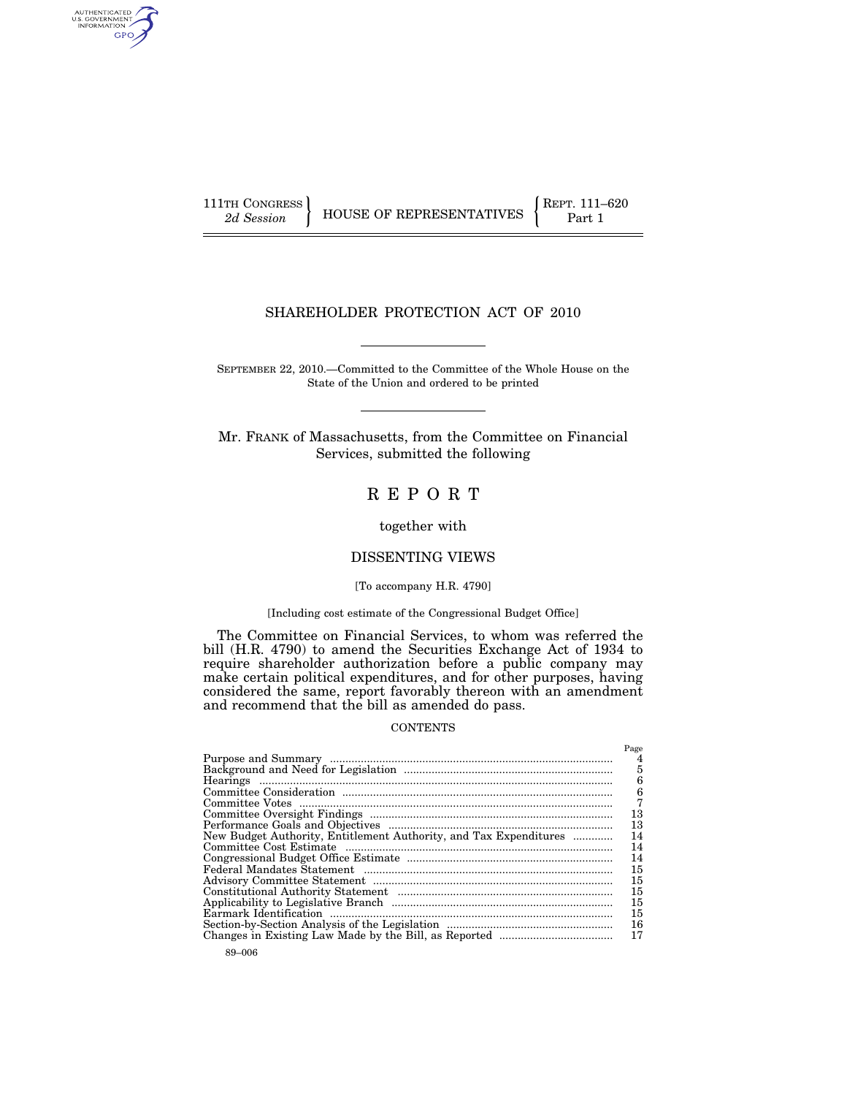AUTHENTICATED<br>U.S. GOVERNMENT<br>INFORMATION GPO

 $\left\{\n \begin{array}{c}\n 111 \text{TH CONGRESS} \\
2d \text{ Session}\n \end{array}\n \right\}\n \quad\n \text{HOUSE OF REPRESENTATIVES}\n \quad\n \left\{\n \begin{array}{c}\n \text{RePT. 111–620} \\
\text{Part 1}\n \end{array}\n \right.$ 

# SHAREHOLDER PROTECTION ACT OF 2010

SEPTEMBER 22, 2010.—Committed to the Committee of the Whole House on the State of the Union and ordered to be printed

Mr. FRANK of Massachusetts, from the Committee on Financial Services, submitted the following

# R E P O R T

together with

## DISSENTING VIEWS

## [To accompany H.R. 4790]

#### [Including cost estimate of the Congressional Budget Office]

The Committee on Financial Services, to whom was referred the bill (H.R. 4790) to amend the Securities Exchange Act of 1934 to require shareholder authorization before a public company may make certain political expenditures, and for other purposes, having considered the same, report favorably thereon with an amendment and recommend that the bill as amended do pass.

#### **CONTENTS**

|                                                                   | Page |
|-------------------------------------------------------------------|------|
|                                                                   |      |
|                                                                   | 5    |
|                                                                   | 6    |
|                                                                   | 6    |
|                                                                   |      |
|                                                                   | 13   |
|                                                                   | 13   |
| New Budget Authority, Entitlement Authority, and Tax Expenditures | 14   |
|                                                                   | 14   |
|                                                                   | 14   |
|                                                                   | 15   |
|                                                                   | 15   |
|                                                                   | 15   |
|                                                                   | 15   |
|                                                                   | 15   |
|                                                                   | 16   |
|                                                                   | 17   |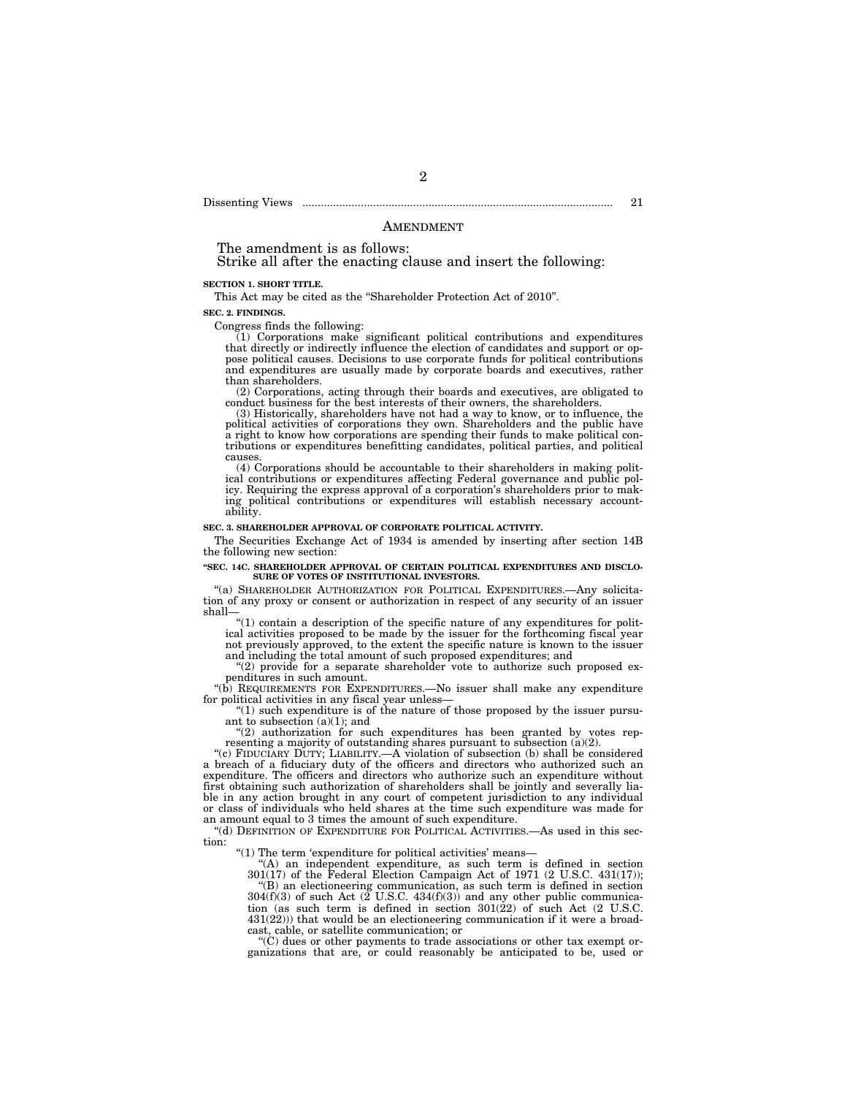Dissenting Views ..................................................................................................... 21

### AMENDMENT

The amendment is as follows:

Strike all after the enacting clause and insert the following:

#### **SECTION 1. SHORT TITLE.**

This Act may be cited as the "Shareholder Protection Act of 2010".

**SEC. 2. FINDINGS.** 

Congress finds the following:

(1) Corporations make significant political contributions and expenditures that directly or indirectly influence the election of candidates and support or oppose political causes. Decisions to use corporate funds for political contributions and expenditures are usually made by corporate boards and executives, rather than shareholders.

(2) Corporations, acting through their boards and executives, are obligated to conduct business for the best interests of their owners, the shareholders.

(3) Historically, shareholders have not had a way to know, or to influence, the political activities of corporations they own. Shareholders and the public have a right to know how corporations are spending their funds to make political contributions or expenditures benefitting candidates, political parties, and political causes. (4) Corporations should be accountable to their shareholders in making polit-

ical contributions or expenditures affecting Federal governance and public policy. Requiring the express approval of a corporation's shareholders prior to mak-ing political contributions or expenditures will establish necessary accountability.

#### **SEC. 3. SHAREHOLDER APPROVAL OF CORPORATE POLITICAL ACTIVITY.**

The Securities Exchange Act of 1934 is amended by inserting after section 14B the following new section:

#### **''SEC. 14C. SHAREHOLDER APPROVAL OF CERTAIN POLITICAL EXPENDITURES AND DISCLO-SURE OF VOTES OF INSTITUTIONAL INVESTORS.**

''(a) SHAREHOLDER AUTHORIZATION FOR POLITICAL EXPENDITURES.—Any solicitation of any proxy or consent or authorization in respect of any security of an issuer shall—

"(1) contain a description of the specific nature of any expenditures for polit-<br> $f_{\text{c}}$  for  $f_{\text{c}}$  and  $f_{\text{c}}$  for  $f_{\text{c}}$  for  $f_{\text{c}}$  for  $f_{\text{c}}$  for  $f_{\text{c}}$  for  $f_{\text{c}}$  for  $f_{\text{c}}$  for  $f_{\text{c}}$  for ical activities proposed to be made by the issuer for the forthcoming fiscal year not previously approved, to the extent the specific nature is known to the issuer and including the total amount of such proposed expenditures; and

''(2) provide for a separate shareholder vote to authorize such proposed expenditures in such amount.

''(b) REQUIREMENTS FOR EXPENDITURES.—No issuer shall make any expenditure for political activities in any fiscal year unless—

 $(1)$  such expenditure is of the nature of those proposed by the issuer pursuant to subsection (a)(1); and

"(2) authorization for such expenditures has been granted by votes rep-<br>resenting a majority of outstanding shares pursuant to subsection  $(a)(2)$ .

''(c) FIDUCIARY DUTY; LIABILITY.—A violation of subsection (b) shall be considered a breach of a fiduciary duty of the officers and directors who authorized such an expenditure. The officers and directors who authorize such an expenditure without first obtaining such authorization of shareholders shall be jointly and severally liable in any action brought in any court of competent jurisdiction to any individual or class of individuals who held shares at the time such expenditure was made for an amount equal to 3 times the amount of such expenditure.

"(d) DEFINITION OF EXPENDITURE FOR POLITICAL ACTIVITIES.—As used in this section:

"(1) The term 'expenditure for political activities' means-

''(A) an independent expenditure, as such term is defined in section 301(17) of the Federal Election Campaign Act of 1971 (2 U.S.C. 431(17)); ''(B) an electioneering communication, as such term is defined in section  $304(f)(3)$  of such Act (2 U.S.C.  $434(f)(3)$ ) and any other public communica-

tion (as such term is defined in section 301(22) of such Act (2 U.S.C. 431(22))) that would be an electioneering communication if it were a broadcast, cable, or satellite communication; or

''(C) dues or other payments to trade associations or other tax exempt organizations that are, or could reasonably be anticipated to be, used or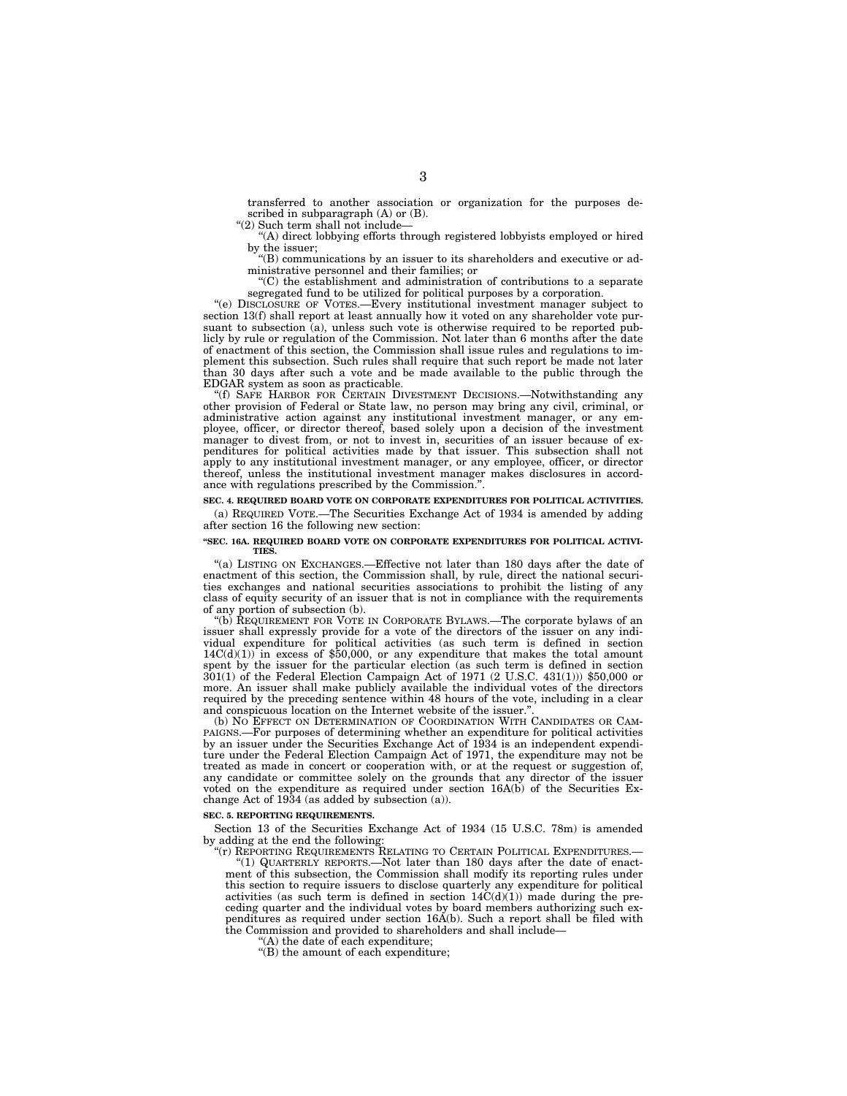transferred to another association or organization for the purposes described in subparagraph (A) or (B).

''(2) Such term shall not include—

''(A) direct lobbying efforts through registered lobbyists employed or hired by the issuer;

''(B) communications by an issuer to its shareholders and executive or administrative personnel and their families; or

''(C) the establishment and administration of contributions to a separate segregated fund to be utilized for political purposes by a corporation.

''(e) DISCLOSURE OF VOTES.—Every institutional investment manager subject to section 13(f) shall report at least annually how it voted on any shareholder vote pursuant to subsection  $(a)$ , unless such vote is otherwise required to be reported publicly by rule or regulation of the Commission. Not later than 6 months after the date of enactment of this section, the Commission shall issue rules and regulations to implement this subsection. Such rules shall require that such report be made not later than 30 days after such a vote and be made available to the public through the EDGAR system as soon as practicable.

''(f) SAFE HARBOR FOR CERTAIN DIVESTMENT DECISIONS.—Notwithstanding any other provision of Federal or State law, no person may bring any civil, criminal, or administrative action against any institutional investment manager, or any employee, officer, or director thereof, based solely upon a decision of the investment manager to divest from, or not to invest in, securities of an issuer because of expenditures for political activities made by that issuer. This subsection shall not apply to any institutional investment manager, or any employee, officer, or director thereof, unless the institutional investment manager makes disclosures in accordance with regulations prescribed by the Commission.''.

#### **SEC. 4. REQUIRED BOARD VOTE ON CORPORATE EXPENDITURES FOR POLITICAL ACTIVITIES.**  (a) REQUIRED VOTE.—The Securities Exchange Act of 1934 is amended by adding

after section 16 the following new section:

#### **''SEC. 16A. REQUIRED BOARD VOTE ON CORPORATE EXPENDITURES FOR POLITICAL ACTIVI-TIES.**

''(a) LISTING ON EXCHANGES.—Effective not later than 180 days after the date of enactment of this section, the Commission shall, by rule, direct the national securities exchanges and national securities associations to prohibit the listing of any class of equity security of an issuer that is not in compliance with the requirements of any portion of subsection (b).

"(b)  $\dot{R}$  EQUIREMENT FOR VOTE IN CORPORATE BYLAWS.—The corporate bylaws of an issuer shall expressly provide for a vote of the directors of the issuer on any individual expenditure for political activities (as such term is defined in section  $14C(d)(1)$  in excess of \$50,000, or any expenditure that makes the total amount spent by the issuer for the particular election (as such term is defined in section 301(1) of the Federal Election Campaign Act of 1971 (2 U.S.C. 431(1))) \$50,000 or more. An issuer shall make publicly available the individual votes of the directors required by the preceding sentence within 48 hours of the vote, including in a clear and conspicuous location on the Internet website of the issuer.'

(b) NO EFFECT ON DETERMINATION OF COORDINATION WITH CANDIDATES OR CAM-PAIGNS.—For purposes of determining whether an expenditure for political activities by an issuer under the Securities Exchange Act of 1934 is an independent expenditure under the Federal Election Campaign Act of 1971, the expenditure may not be treated as made in concert or cooperation with, or at the request or suggestion of, any candidate or committee solely on the grounds that any director of the issuer voted on the expenditure as required under section 16A(b) of the Securities Exchange Act of  $19\overline{3}4$  (as added by subsection (a)).

#### **SEC. 5. REPORTING REQUIREMENTS.**

Section 13 of the Securities Exchange Act of 1934 (15 U.S.C. 78m) is amended by adding at the end the following:

"(r) REPORTING REQUIREMENTS RELATING TO CERTAIN POLITICAL EXPENDITURES.— ''(1) QUARTERLY REPORTS.—Not later than 180 days after the date of enactment of this subsection, the Commission shall modify its reporting rules under this section to require issuers to disclose quarterly any expenditure for political activities (as such term is defined in section  $14C(d)(1)$ ) made during the preceding quarter and the individual votes by board members authorizing such expenditures as required under section 16A(b). Such a report shall be filed with the Commission and provided to shareholders and shall include—

''(A) the date of each expenditure;

''(B) the amount of each expenditure;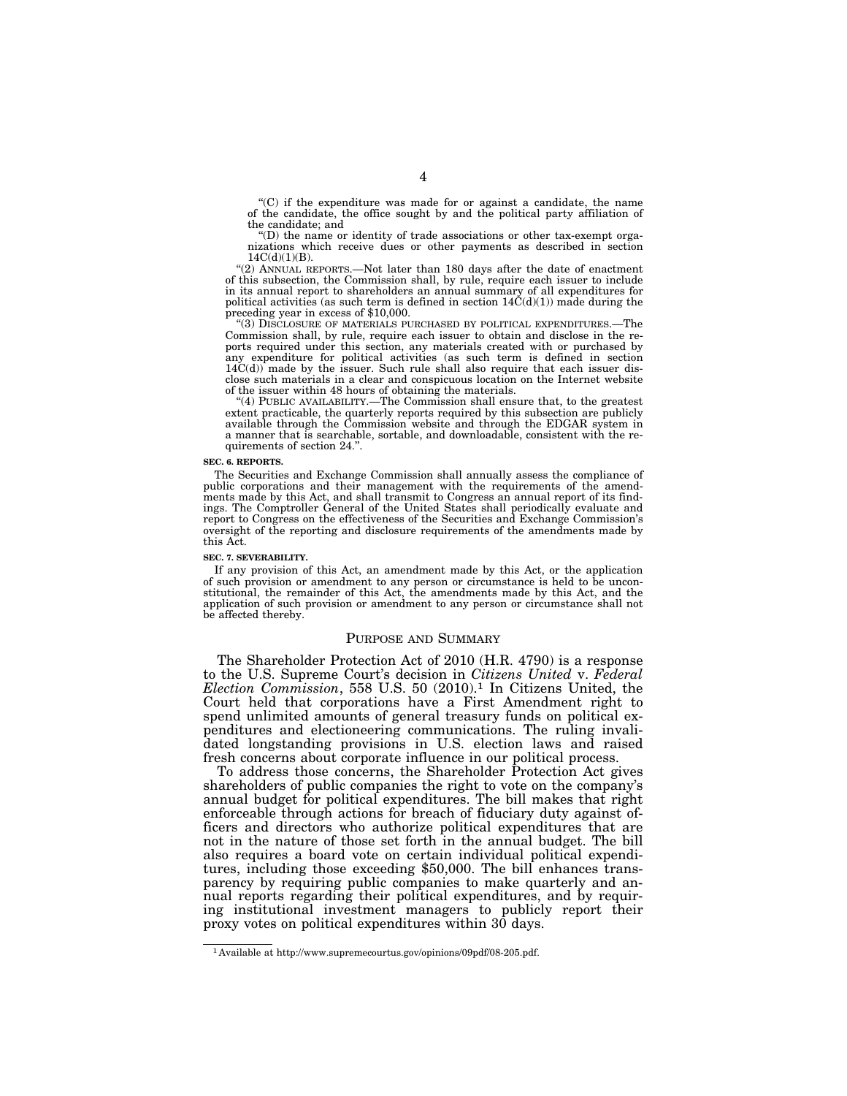''(C) if the expenditure was made for or against a candidate, the name of the candidate, the office sought by and the political party affiliation of the candidate; and

''(D) the name or identity of trade associations or other tax-exempt organizations which receive dues or other payments as described in section  $14C(d)(1)(B)$ .

''(2) ANNUAL REPORTS.—Not later than 180 days after the date of enactment of this subsection, the Commission shall, by rule, require each issuer to include in its annual report to shareholders an annual summary of all expenditures for political activities (as such term is defined in section  $14\text{C}(d)(1)$ ) made during the preceding year in excess of \$10,000.

''(3) DISCLOSURE OF MATERIALS PURCHASED BY POLITICAL EXPENDITURES.—The Commission shall, by rule, require each issuer to obtain and disclose in the reports required under this section, any materials created with or purchased by any expenditure for political activities (as such term is defined in section  $14\text{C}(d)$  made by the issuer. Such rule shall also require that each issuer disclose such materials in a clear and conspicuous location on the Internet website of the issuer within 48 hours of obtaining the materials.

''(4) PUBLIC AVAILABILITY.—The Commission shall ensure that, to the greatest extent practicable, the quarterly reports required by this subsection are publicly available through the Commission website and through the EDGAR system in a manner that is searchable, sortable, and downloadable, consistent with the requirements of section 24.''.

#### **SEC. 6. REPORTS.**

The Securities and Exchange Commission shall annually assess the compliance of public corporations and their management with the requirements of the amendments made by this Act, and shall transmit to Congress an annual report of its findings. The Comptroller General of the United States shall periodically evaluate and report to Congress on the effectiveness of the Securities and Exchange Commission's oversight of the reporting and disclosure requirements of the amendments made by this Act.

#### **SEC. 7. SEVERABILITY.**

If any provision of this Act, an amendment made by this Act, or the application of such provision or amendment to any person or circumstance is held to be unconstitutional, the remainder of this Act, the amendments made by this Act, and the application of such provision or amendment to any person or circumstance shall not be affected thereby.

#### PURPOSE AND SUMMARY

The Shareholder Protection Act of 2010 (H.R. 4790) is a response to the U.S. Supreme Court's decision in *Citizens United* v. *Federal Election Commission*, 558 U.S. 50 (2010).1 In Citizens United, the Court held that corporations have a First Amendment right to spend unlimited amounts of general treasury funds on political expenditures and electioneering communications. The ruling invalidated longstanding provisions in U.S. election laws and raised fresh concerns about corporate influence in our political process.

To address those concerns, the Shareholder Protection Act gives shareholders of public companies the right to vote on the company's annual budget for political expenditures. The bill makes that right enforceable through actions for breach of fiduciary duty against officers and directors who authorize political expenditures that are not in the nature of those set forth in the annual budget. The bill also requires a board vote on certain individual political expenditures, including those exceeding \$50,000. The bill enhances transparency by requiring public companies to make quarterly and annual reports regarding their political expenditures, and by requiring institutional investment managers to publicly report their proxy votes on political expenditures within 30 days.

<sup>1</sup> Available at http://www.supremecourtus.gov/opinions/09pdf/08-205.pdf.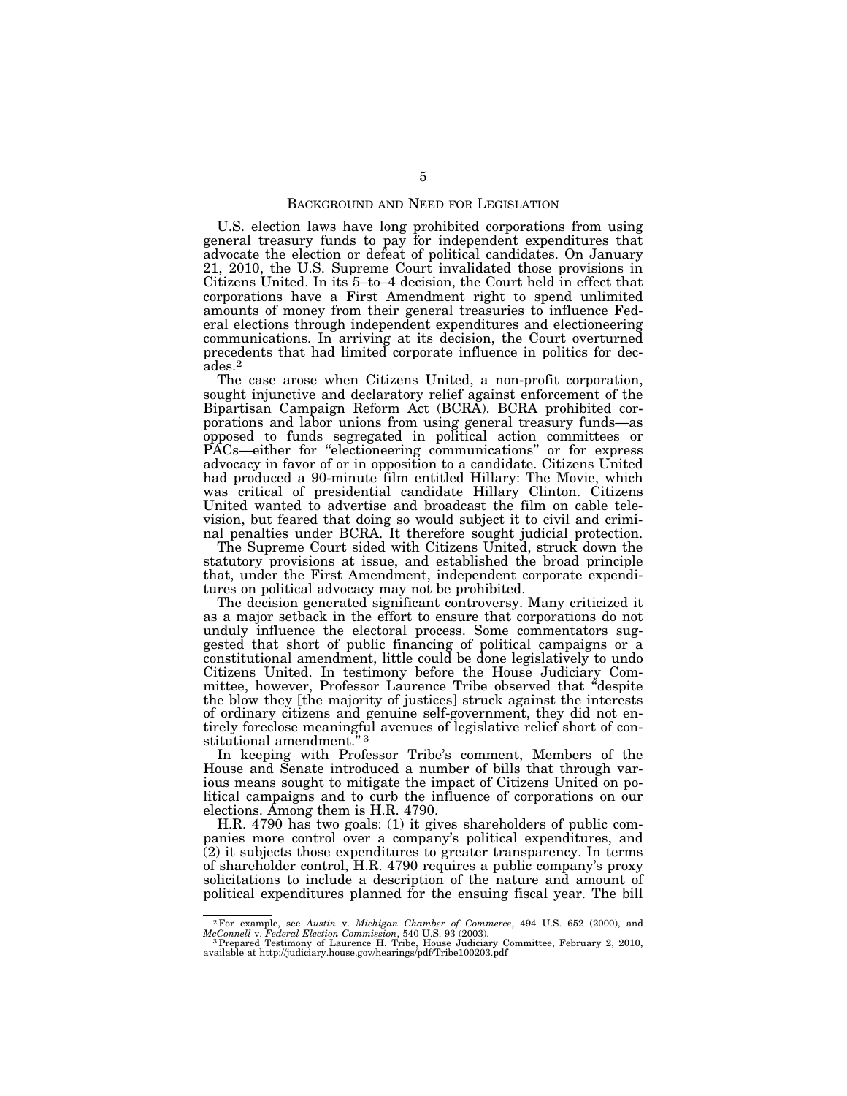### BACKGROUND AND NEED FOR LEGISLATION

U.S. election laws have long prohibited corporations from using general treasury funds to pay for independent expenditures that advocate the election or defeat of political candidates. On January 21, 2010, the U.S. Supreme Court invalidated those provisions in Citizens United. In its 5–to–4 decision, the Court held in effect that corporations have a First Amendment right to spend unlimited amounts of money from their general treasuries to influence Federal elections through independent expenditures and electioneering communications. In arriving at its decision, the Court overturned precedents that had limited corporate influence in politics for decades.2

The case arose when Citizens United, a non-profit corporation, sought injunctive and declaratory relief against enforcement of the Bipartisan Campaign Reform Act (BCRA). BCRA prohibited corporations and labor unions from using general treasury funds—as opposed to funds segregated in political action committees or PACs—either for "electioneering communications" or for express advocacy in favor of or in opposition to a candidate. Citizens United had produced a 90-minute film entitled Hillary: The Movie, which was critical of presidential candidate Hillary Clinton. Citizens United wanted to advertise and broadcast the film on cable television, but feared that doing so would subject it to civil and criminal penalties under BCRA. It therefore sought judicial protection.

The Supreme Court sided with Citizens United, struck down the statutory provisions at issue, and established the broad principle that, under the First Amendment, independent corporate expenditures on political advocacy may not be prohibited.

The decision generated significant controversy. Many criticized it as a major setback in the effort to ensure that corporations do not unduly influence the electoral process. Some commentators suggested that short of public financing of political campaigns or a constitutional amendment, little could be done legislatively to undo Citizens United. In testimony before the House Judiciary Committee, however, Professor Laurence Tribe observed that ''despite the blow they [the majority of justices] struck against the interests of ordinary citizens and genuine self-government, they did not entirely foreclose meaningful avenues of legislative relief short of constitutional amendment."<sup>3</sup>

In keeping with Professor Tribe's comment, Members of the House and Senate introduced a number of bills that through various means sought to mitigate the impact of Citizens United on political campaigns and to curb the influence of corporations on our elections. Among them is H.R. 4790.

H.R. 4790 has two goals: (1) it gives shareholders of public companies more control over a company's political expenditures, and  $(2)$  it subjects those expenditures to greater transparency. In terms of shareholder control, H.R. 4790 requires a public company's proxy solicitations to include a description of the nature and amount of political expenditures planned for the ensuing fiscal year. The bill

<sup>&</sup>lt;sup>2</sup> For example, see Austin v. Michigan Chamber of Commerce, 494 U.S. 652 (2000), and McConnell v. Federal Election Commission, 540 U.S. 93 (2003).<br><sup>3</sup> Prepared Testimony of Laurence H. Tribe, House Judiciary Committee, F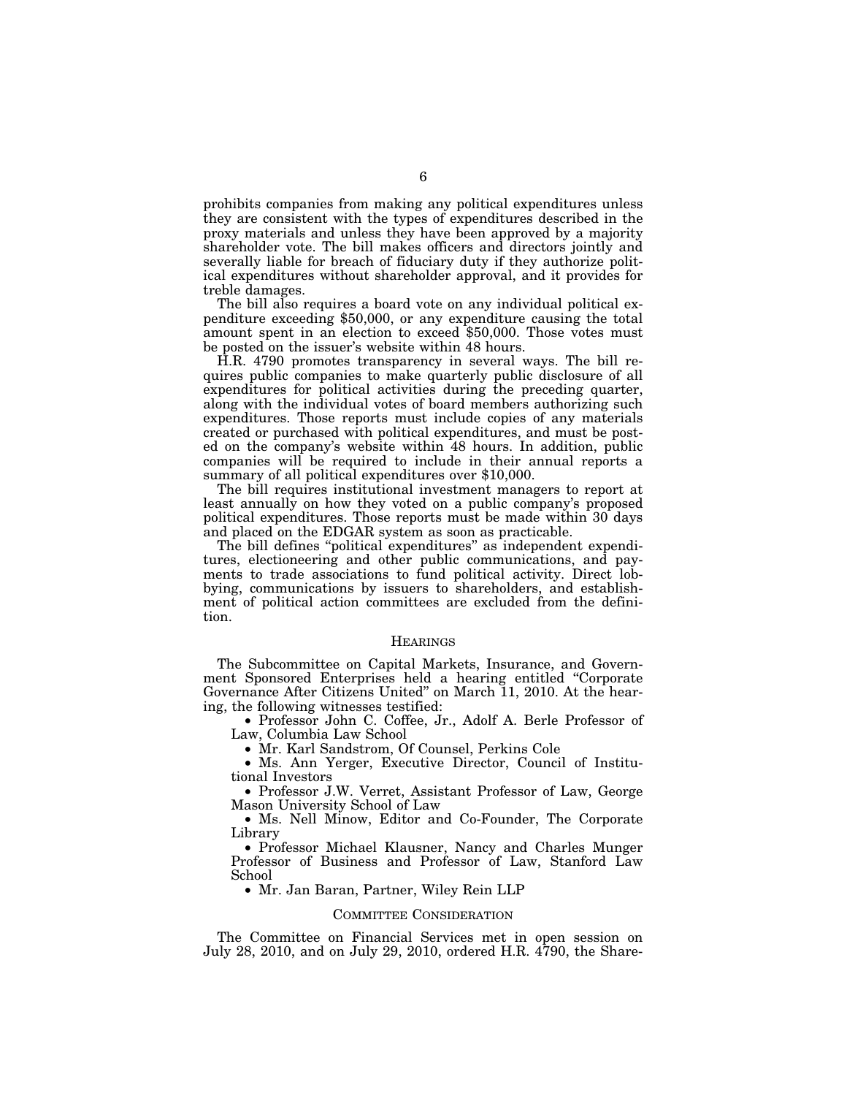prohibits companies from making any political expenditures unless they are consistent with the types of expenditures described in the proxy materials and unless they have been approved by a majority shareholder vote. The bill makes officers and directors jointly and severally liable for breach of fiduciary duty if they authorize political expenditures without shareholder approval, and it provides for treble damages.

The bill also requires a board vote on any individual political expenditure exceeding \$50,000, or any expenditure causing the total amount spent in an election to exceed \$50,000. Those votes must be posted on the issuer's website within 48 hours.

H.R. 4790 promotes transparency in several ways. The bill requires public companies to make quarterly public disclosure of all expenditures for political activities during the preceding quarter, along with the individual votes of board members authorizing such expenditures. Those reports must include copies of any materials created or purchased with political expenditures, and must be posted on the company's website within 48 hours. In addition, public companies will be required to include in their annual reports a summary of all political expenditures over \$10,000.

The bill requires institutional investment managers to report at least annually on how they voted on a public company's proposed political expenditures. Those reports must be made within 30 days and placed on the EDGAR system as soon as practicable.

The bill defines "political expenditures" as independent expenditures, electioneering and other public communications, and payments to trade associations to fund political activity. Direct lobbying, communications by issuers to shareholders, and establishment of political action committees are excluded from the definition.

#### HEARINGS

The Subcommittee on Capital Markets, Insurance, and Government Sponsored Enterprises held a hearing entitled ''Corporate Governance After Citizens United'' on March 11, 2010. At the hearing, the following witnesses testified:

• Professor John C. Coffee, Jr., Adolf A. Berle Professor of Law, Columbia Law School

• Mr. Karl Sandstrom, Of Counsel, Perkins Cole

• Ms. Ann Yerger, Executive Director, Council of Institutional Investors

• Professor J.W. Verret, Assistant Professor of Law, George Mason University School of Law

• Ms. Nell Minow, Editor and Co-Founder, The Corporate Library

• Professor Michael Klausner, Nancy and Charles Munger Professor of Business and Professor of Law, Stanford Law School

• Mr. Jan Baran, Partner, Wiley Rein LLP

### COMMITTEE CONSIDERATION

The Committee on Financial Services met in open session on July 28, 2010, and on July 29, 2010, ordered H.R. 4790, the Share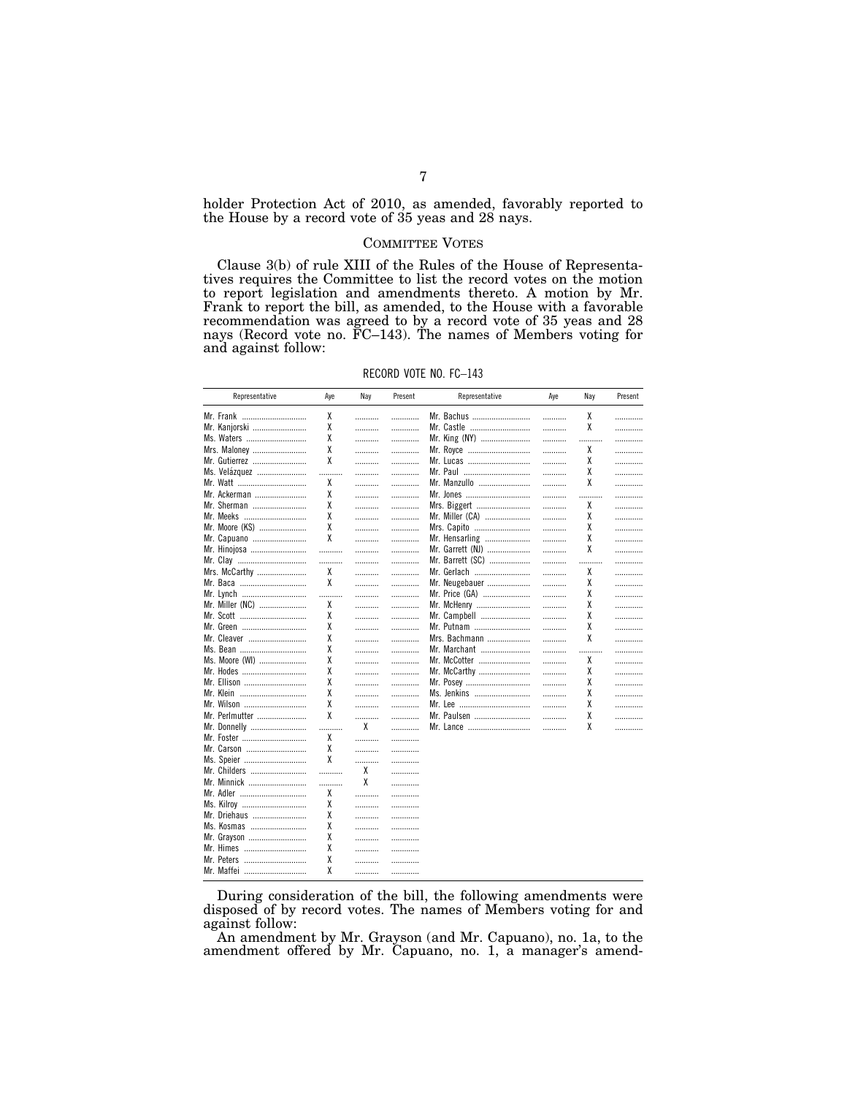holder Protection Act of 2010, as amended, favorably reported to the House by a record vote of 35 yeas and 28 nays.

## **COMMITTEE VOTES**

Clause 3(b) of rule XIII of the Rules of the House of Representatives requires the Committee to list the record votes on the motion to report legislation and amendments thereto. A motion by Mr. Frank to report the bill, as amended, to the House with a favorable<br>recommendation was agreed to by a record vote of 35 years and 28 nays (Record vote no. FC-143). The names of Members voting for and against follow:

| Representative             | Aye    | Nay | Present | Representative   | Aye | Nay    | Present |
|----------------------------|--------|-----|---------|------------------|-----|--------|---------|
| Mr. Frank                  | χ      | .   | .       | Mr. Bachus       | .   | χ      | .       |
| Mr. Kanjorski              | χ      | .   | .       | Mr. Castle       | .   | χ      | .       |
| Ms. Waters                 | χ      | .   |         | Mr. King (NY)    | .   | .      | .       |
| Mrs. Maloney               | χ      | .   | .       | Mr. Royce        | .   | χ      | .       |
| Mr. Gutierrez              | χ      | .   | .       | Mr. Lucas        | .   | χ      | .       |
| Ms. Velazquez              | .      | .   |         | Mr. Paul         | .   | χ      | .       |
|                            | χ      | .   | .       | Mr. Manzullo     | .   | χ      | .       |
| Mr. Ackerman               | χ      | .   | .       | Mr. Jones        | .   | .      |         |
| Mr. Sherman                | χ      | .   | .       | Mrs. Biggert     | .   | χ      | .       |
| Mr. Meeks                  | χ      | .   | .       | Mr. Miller (CA)  | .   | χ      | .       |
| Mr. Moore (KS)             | χ      | .   | .       | Mrs. Capito      | .   | χ      | .       |
| Mr. Capuano                | χ      | .   | .       | Mr. Hensarling   | .   | χ      | .       |
| Mr. Hinojosa               | .      | .   | .       | Mr. Garrett (NJ) | .   | χ      | .       |
| Mr. Clay                   | .      | .   | .       | Mr. Barrett (SC) | .   | .      | .       |
| Mrs. McCarthy              | χ      | .   | .       | Mr. Gerlach      | .   | χ      | .       |
|                            | X      | .   | .       | Mr. Neugebauer   | .   | χ      | .       |
| Mr. Lynch                  | .<br>. | .   |         | Mr. Price (GA)   | .   | χ      |         |
| Mr. Miller (NC)            | χ      | .   | .       | Mr. McHenry      | .   | χ      | .       |
| Mr. Scott                  | χ      | .   | .       | Mr. Campbell     | .   | χ      | .       |
| Mr. Green                  | χ      |     |         | Mr. Putnam       |     | χ      |         |
| Mr. Cleaver                | χ      | .   | .       | Mrs. Bachmann    | .   | χ      | .       |
|                            | χ      | .   |         | Mr. Marchant     | .   |        | .       |
| Ms. Bean<br>Ms. Moore (WI) | χ      | .   | .       | Mr. McCotter     | .   | .<br>χ | .       |
|                            | χ      | .   | .       |                  | .   | χ      | .       |
| Mr. Hodes                  | X      | .   | .       | Mr. McCarthy     | .   | χ      | .       |
| Mr. Ellison                | χ      | .   | .       | Mr. Posey        | .   | χ      | .       |
| Mr. Klein                  | χ      | .   | .       | Ms. Jenkins      | .   | χ      | .       |
| Mr. Wilson                 | X      | .   | .       |                  | .   |        |         |
| Mr. Perlmutter             |        | .   | .       | Mr. Paulsen      | .   | χ      | .       |
| Mr. Donnelly               | .      | X   | .       | Mr. Lance        | .   | χ      | .       |
| Mr. Foster                 | χ      | .   |         |                  |     |        |         |
| Mr. Carson                 | X      | .   | .       |                  |     |        |         |
| Ms. Speier                 | χ      | .   | .       |                  |     |        |         |
| Mr. Childers               | .      | χ   | .       |                  |     |        |         |
| Mr. Minnick                | .      | χ   | .       |                  |     |        |         |
| Mr. Adler                  | X      | .   | .       |                  |     |        |         |
| Ms. Kilroy                 | χ      | .   | .       |                  |     |        |         |
| Mr. Driehaus               | χ      | .   | .       |                  |     |        |         |
| Ms. Kosmas                 | χ      | .   | .       |                  |     |        |         |
| Mr. Grayson                | χ      | .   | .       |                  |     |        |         |
| Mr. Himes                  | χ      | .   | .       |                  |     |        |         |
| Mr. Peters                 | χ      | .   | .       |                  |     |        |         |
| Mr. Maffei                 | χ      |     | .       |                  |     |        |         |

During consideration of the bill, the following amendments were disposed of by record votes. The names of Members voting for and against follow:

An amendment by Mr. Grayson (and Mr. Capuano), no. 1a, to the amendment offered by Mr. Capuano, no. 1, a manager's amend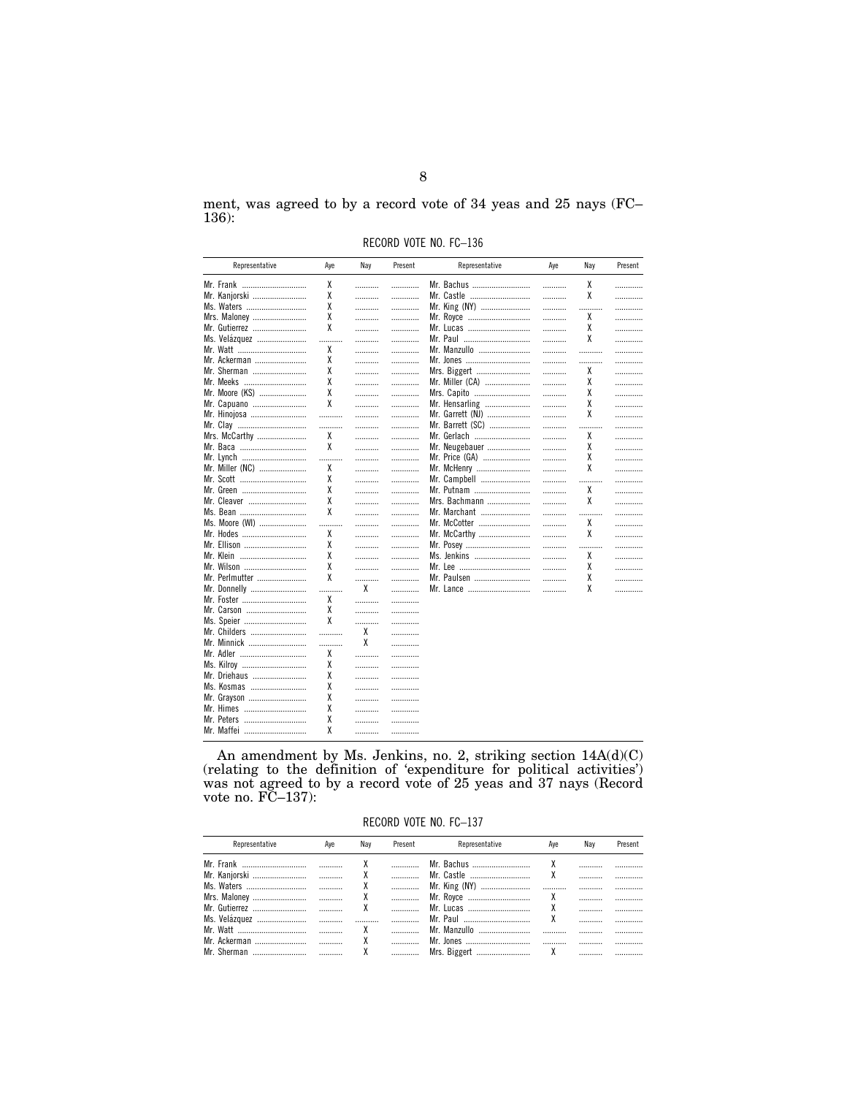ment, was agreed to by a record vote of 34 yeas and 25 nays (FC- $136$ :

RECORD VOTE NO. FC-136

| Representative  | Aye                | Nay    | Present | Representative      | Aye    | Nay    | Present |
|-----------------|--------------------|--------|---------|---------------------|--------|--------|---------|
| Mr. Frank       | χ                  | .      | .       | Mr. Bachus          | .      | χ      | .       |
| Mr. Kanjorski   | χ                  | .      | .       | Mr. Castle          | .      | χ      | .       |
| Ms. Waters      | χ                  | .      | .       | Mr. King (NY)       | .      | .      | .       |
| Mrs. Maloney    | χ                  | .      | .       | Mr. Royce           | .      | χ      | .       |
| Mr. Gutierrez   | χ                  | .      | .       | Mr. Lucas           |        | χ      | .       |
| Ms. Velázquez   | .                  | .      | .       | Mr. Paul ………………………… | .      | χ      | .       |
| Mr. Watt        | χ                  | .      | .       | Mr. Manzullo        | .      |        | .       |
| Mr. Ackerman    | χ                  | .      | .       | Mr. Jones           | .      | .      | .       |
| Mr. Sherman     | χ                  | .      | .       | Mrs. Biggert        | .      | χ      | .       |
| Mr. Meeks       | χ                  | .      | .       | Mr. Miller (CA)     | .      | χ      | .       |
| Mr. Moore (KS)  | χ                  | .      | .       | Mrs. Capito         | .      | χ      | .       |
| Mr. Capuano     | χ                  | .      | .       | Mr. Hensarling      | .      | χ      | .       |
| Mr. Hinojosa    | .                  | .      | .       | Mr. Garrett (NJ)    | .      | χ      | .       |
| Mr. Clay        | .<br>$\ddotsc$     | .      | .       | Mr. Barrett (SC)    | .      |        | .       |
| Mrs. McCarthy   | χ                  | .      | .       | Mr. Gerlach         | .      | χ      |         |
|                 | χ                  | .      | .       | Mr. Neugebauer      | .      | χ      | .       |
| Mr. Lynch       | .<br>              | .      | .       | Mr. Price (GA)      | .      | χ      | .       |
| Mr. Miller (NC) | χ                  | .      | .       | Mr. McHenry         | .      | χ      | .       |
| Mr. Scott       | χ                  | .      | .       | Mr. Campbell        | .      | .      | .       |
| Mr. Green       | χ                  | .      | .       | Mr. Putnam          | .      | χ      | .       |
| Mr. Cleaver     | χ                  | .      | .       | Mrs. Bachmann       | .      | χ      | .       |
| Ms. Bean        | X                  | .      | .       | Mr. Marchant        |        |        | .       |
| Ms. Moore (WI)  |                    |        | .       | Mr. McCotter        | .      | χ      | .       |
| Mr. Hodes       | .<br>$\cdots$<br>χ | .      | .       | Mr. McCarthy        | .      | χ      | .       |
| Mr. Ellison     | χ                  | .      | .       | Mr. Posey           | .<br>. |        |         |
| Mr. Klein       | χ                  | .      | .       | Ms. Jenkins         | .      | .<br>χ | .       |
| Mr. Wilson      | χ                  | .      |         |                     |        | χ      | .       |
| Mr. Perlmutter  | X                  | .      | .       | Mr. Paulsen         | .      | χ      | .       |
|                 |                    | .<br>X | .       |                     | .      |        | .       |
| Mr. Donnelly    | .                  |        | .       | Mr. Lance           | .      | χ      | .       |
| Mr. Foster      | χ                  | .      | .       |                     |        |        |         |
| Mr. Carson      | χ<br>χ             | .      | .       |                     |        |        |         |
| Ms. Speier      |                    | .      | .       |                     |        |        |         |
| Mr. Childers    |                    | χ      | .       |                     |        |        |         |
| Mr. Minnick     | .                  | X      | .       |                     |        |        |         |
| Mr. Adler       | χ                  | .      | .       |                     |        |        |         |
| Ms. Kilroy      | χ                  | .      | .       |                     |        |        |         |
| Mr. Driehaus    | χ                  | .      | .       |                     |        |        |         |
| Ms. Kosmas      | χ                  | .      | .       |                     |        |        |         |
| Mr. Grayson     | χ                  | .      |         |                     |        |        |         |
| Mr. Himes       | χ                  | .      |         |                     |        |        |         |
| Mr. Peters      | χ                  | .      | .       |                     |        |        |         |
| Mr. Maffei      | χ                  | .      | .       |                     |        |        |         |

An amendment by Ms. Jenkins, no. 2, striking section  $14A(d)(C)$  (relating to the definition of 'expenditure for political activities') was not agreed to by a record vote of 25 yeas and 37 nays (Record vote no.  $FC-137$ ):

RECORD VOTE NO. FC-137

| Representative | Ave | Nav | Present | Representative | Ave | Nav | Present |
|----------------|-----|-----|---------|----------------|-----|-----|---------|
|                |     |     |         |                |     |     |         |
|                |     |     |         |                |     |     |         |
|                |     |     |         |                |     |     |         |
|                |     |     |         |                |     |     |         |
|                |     |     |         |                |     |     |         |
|                |     |     |         |                |     |     |         |
|                |     |     |         |                |     |     |         |
|                |     |     |         |                |     |     |         |
|                |     |     |         |                |     |     |         |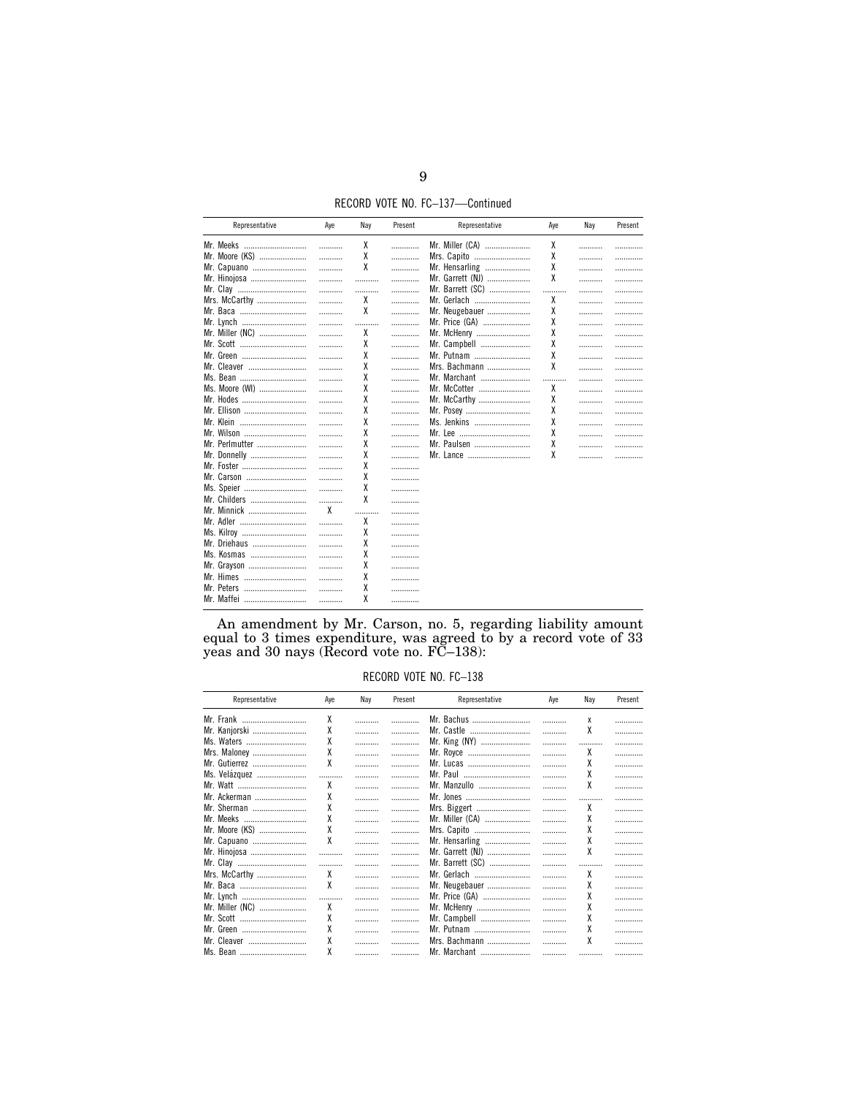RECORD VOTE NO. FC-137-Continued

| Representative  | Aye | Nay    | Present | Representative   | Ave | Nay | Present |
|-----------------|-----|--------|---------|------------------|-----|-----|---------|
| Mr. Meeks       | .   | χ      | .       | Mr. Miller (CA)  | x   | .   |         |
| Mr. Moore (KS)  | .   | χ      | .       | Mrs. Capito      | χ   | .   | .       |
| Mr. Capuano     | .   | χ      | .       | Mr. Hensarling   | χ   |     | .       |
| Mr. Hinojosa    | .   | .      | .       | Mr. Garrett (NJ) | χ   | .   | .       |
| Mr. Clay        | .   | .<br>. | .       | Mr. Barrett (SC) |     | .   | .       |
| Mrs. McCarthy   | .   | χ      |         | Mr. Gerlach      | χ   | .   | .       |
|                 | .   | X      | .       | Mr. Neugebauer   | χ   |     | .       |
| Mr. Lynch       | .   | .      | .       | Mr. Price (GA)   | χ   |     | .       |
| Mr. Miller (NC) | .   | χ      | .       | Mr. McHenry      | χ   |     | .       |
| Mr. Scott       | .   | χ      | .       | Mr. Campbell     | χ   |     | .       |
| Mr. Green       | .   | χ      | .       | Mr. Putnam       | χ   | .   | .       |
| Mr. Cleaver     | .   | χ      | .       | Mrs. Bachmann    | χ   |     | .       |
| Ms. Bean        | .   | χ      | .       | Mr. Marchant     |     | .   | .       |
| Ms. Moore (WI)  | .   | χ      | .       | Mr. McCotter     | χ   |     | .       |
| Mr. Hodes       | .   | X      | .       | Mr. McCarthy     | χ   |     | .       |
| Mr. Ellison     | .   | χ      | .       | Mr. Posey        | χ   |     | .       |
| Mr. Klein       | .   | χ      | .       | Ms. Jenkins      | χ   |     | .       |
| Mr. Wilson      | .   | X      | .       |                  | χ   |     | .       |
| Mr. Perlmutter  | .   | χ      | .       | Mr. Paulsen      | χ   | .   | .       |
| Mr. Donnelly    | .   | χ      | .       | Mr. Lance        | χ   | .   | .       |
| Mr. Foster      | .   | χ      | .       |                  |     |     |         |
| Mr. Carson      | .   | χ      | .       |                  |     |     |         |
| Ms. Speier      | .   | X      |         |                  |     |     |         |
| Mr. Childers    | .   | X      | .       |                  |     |     |         |
| Mr. Minnick     | X   | .      |         |                  |     |     |         |
| Mr. Adler       | .   | χ      | .       |                  |     |     |         |
| Ms. Kilroy      | .   | χ      | .       |                  |     |     |         |
| Mr. Driehaus    | .   | χ      |         |                  |     |     |         |
| Ms. Kosmas      | .   | χ      |         |                  |     |     |         |
| Mr. Grayson     | .   | χ      | .       |                  |     |     |         |
| Mr. Himes       |     | χ      |         |                  |     |     |         |
| Mr. Peters      |     | χ      |         |                  |     |     |         |
| Mr. Maffei      | .   | χ      |         |                  |     |     |         |

An amendment by Mr. Carson, no. 5, regarding liability amount equal to 3 times expenditure, was agreed to by a record vote of 33 yeas and 30 nays (Record vote no.  $FC-138$ ):

RECORD VOTE NO. FC-138

| Representative  | Ave | Nav | Present | Representative   | Ave | Nav | Present |
|-----------------|-----|-----|---------|------------------|-----|-----|---------|
| Mr. Frank       | χ   |     |         | Mr. Bachus       |     | x   | .       |
| Mr. Kanjorski   | χ   |     |         | Mr. Castle       |     | χ   | .       |
| Ms. Waters      | χ   |     | .       | Mr. King (NY)    |     |     | .       |
| Mrs. Maloney    | χ   |     |         | Mr. Royce        |     | χ   | .       |
| Mr. Gutierrez   | χ   |     | .       | Mr. Lucas        |     | χ   | .       |
| Ms. Velázquez   |     | .   | .       | Mr. Paul         | .   | χ   | .       |
| Mr. Watt        | χ   |     | .       | Mr. Manzullo     |     | χ   | .       |
| Mr. Ackerman    | χ   |     | .       | Mr. Jones        |     |     | .       |
| Mr. Sherman     | χ   |     |         | Mrs. Biggert     |     | χ   | .       |
| Mr. Meeks       | χ   |     |         | Mr. Miller (CA)  |     | χ   | .       |
| Mr. Moore (KS)  | χ   |     | .       | Mrs. Capito      |     | χ   | .       |
| Mr. Capuano     | χ   |     | .       | Mr. Hensarling   |     |     | .       |
| Mr. Hinojosa    |     |     | .       | Mr. Garrett (NJ) |     | χ   | .       |
| Mr. Clay        | .   |     | .       | Mr. Barrett (SC) |     |     | .       |
| Mrs. McCarthy   | χ   |     | .       | Mr. Gerlach      |     | χ   | .       |
|                 | χ   |     |         | Mr. Neugebauer   |     | χ   | .       |
| Mr. Lynch       | .   | .   | .       | Mr. Price (GA)   |     | χ   | .       |
| Mr. Miller (NC) | χ   |     | .       | Mr. McHenry      |     |     | .       |
| Mr. Scott       | χ   |     | .       | Mr. Campbell     |     |     | .       |
| Mr. Green       | χ   |     |         | Mr. Putnam       |     | χ   | .       |
| Mr. Cleaver     | X   |     |         | Mrs. Bachmann    |     | χ   |         |
| Ms Rean         | γ   |     |         | Mr Marchant      |     |     |         |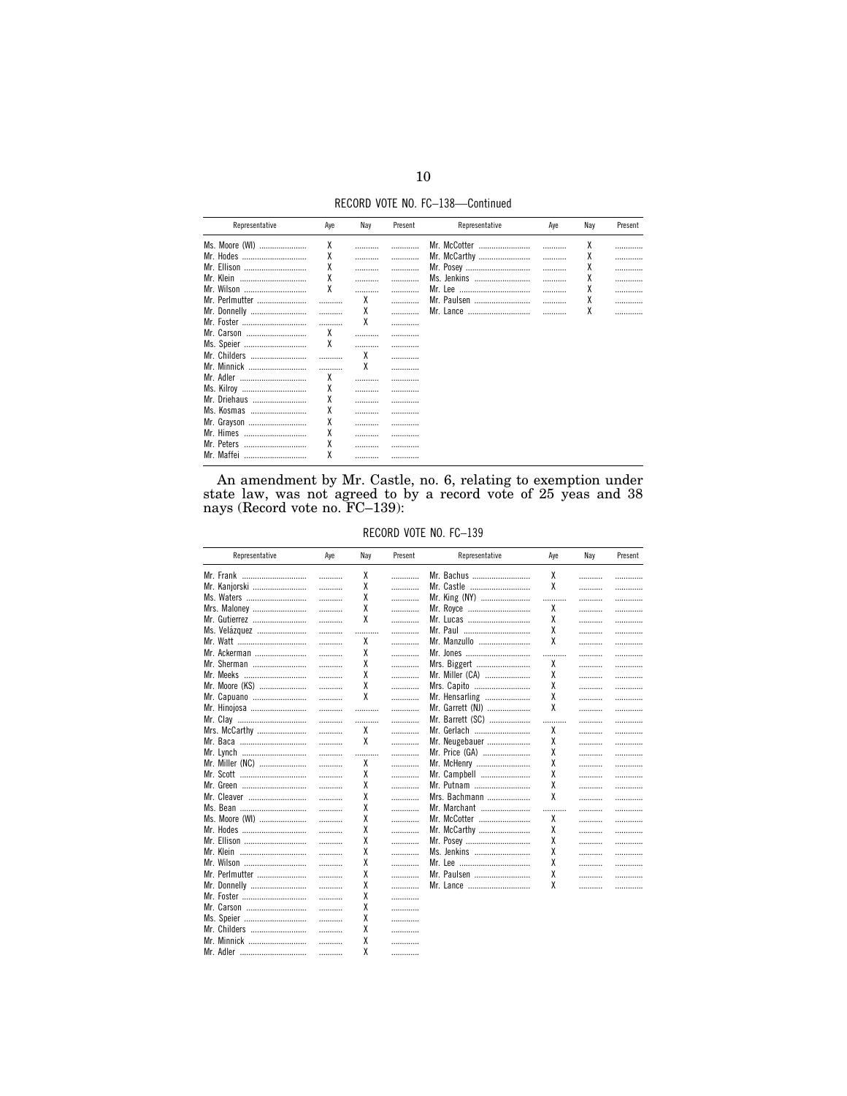RECORD VOTE NO. FC-138-Continued

| Representative | Aye | Nay | Present | Representative   | Aye | Nay | Present |
|----------------|-----|-----|---------|------------------|-----|-----|---------|
| Ms. Moore (WI) | χ   |     |         | Mr. McCotter<br> |     | χ   |         |
| Mr. Hodes<br>  | χ   |     |         | Mr. McCarthy     |     | χ   |         |
| Mr. Ellison    | Χ   |     |         | Mr. Posey        |     | χ   |         |
| Mr. Klein<br>  | χ   |     |         | Ms. Jenkins<br>  |     | χ   |         |
| Mr. Wilson     | X   |     |         | Mr. Lee<br>      |     | χ   |         |
| Mr. Perlmutter |     | χ   |         | Mr. Paulsen      |     | χ   |         |
| Mr. Donnelly   |     | χ   |         | Mr. Lance        |     | χ   |         |
| Mr. Foster     | .   | χ   |         |                  |     |     |         |
| Mr. Carson<br> | χ   |     |         |                  |     |     |         |
| Ms. Speier     | X   |     |         |                  |     |     |         |
| Mr. Childers   |     | χ   |         |                  |     |     |         |
| Mr. Minnick    |     | χ   |         |                  |     |     |         |
| Mr. Adler      | χ   |     |         |                  |     |     |         |
| Ms. Kilroy     | Χ   |     | .       |                  |     |     |         |
| Mr. Driehaus   | χ   |     | .       |                  |     |     |         |
| Ms. Kosmas     | X   |     |         |                  |     |     |         |
| Mr. Grayson    | X   |     | .       |                  |     |     |         |
| Mr. Himes      | χ   |     | .       |                  |     |     |         |
| Mr. Peters<br> | χ   |     | .       |                  |     |     |         |
| Mr. Maffei<br> | Χ   |     |         |                  |     |     |         |

An amendment by Mr. Castle, no. 6, relating to exemption under state law, was not agreed to by a record vote of  $25$  yeas and  $38$  nays (Record vote no.  $\text{FC}-139$ ):

RECORD VOTE NO. FC-139

| Representative  | Aye | Nay | Present | Representative   | Aye | Nay | Present |
|-----------------|-----|-----|---------|------------------|-----|-----|---------|
| Mr. Frank       | .   | x   | .       | Mr. Bachus       | х   | .   | .       |
| Mr. Kanjorski   | .   | χ   | .       | Mr. Castle       | χ   | .   | .       |
| Ms. Waters      | .   | χ   | .       | Mr. King (NY)    | .   |     | .       |
| Mrs. Maloney    | .   | χ   | .       | Mr. Royce        | χ   | .   | .       |
| Mr. Gutierrez   | .   | χ   | .       | Mr. Lucas        | χ   | .   | .       |
| Ms. Velázquez   | .   | .   | .       | Mr. Paul         | χ   |     | .       |
| Mr. Watt        | .   | χ   | .       | Mr. Manzullo     | X   | .   | .       |
| Mr. Ackerman    | .   | χ   | .       | Mr. Jones        | .   |     | .       |
| Mr. Sherman     | .   | χ   | .       | Mrs. Biggert     | χ   |     | .       |
| Mr. Meeks       | .   | χ   | .       | Mr. Miller (CA)  | χ   | .   | .       |
| Mr. Moore (KS)  | .   | χ   | .       | Mrs. Capito      | χ   | .   | .       |
| Mr. Capuano     | .   | χ   | .       | Mr. Hensarling   | χ   |     | .       |
| Mr. Hinojosa    | .   | .   | .       | Mr. Garrett (NJ) | χ   | .   | .       |
| Mr. Clay        | .   | .   | .       | Mr. Barrett (SC) | .   | .   | .       |
| Mrs. McCarthy   | .   | χ   | .       | Mr. Gerlach      | χ   |     | .       |
| Mr. Baca        | .   | χ   | .       | Mr. Neugebauer   | χ   | .   | .       |
| Mr. Lynch       | .   | .   | .       | Mr. Price (GA)   | χ   | .   | .       |
| Mr. Miller (NC) | .   | χ   | .       | Mr. McHenry      | χ   |     | .       |
| Mr. Scott       | .   | χ   | .       | Mr. Campbell     | χ   | .   | .       |
| Mr. Green       | .   | χ   | .       | Mr. Putnam       | χ   | .   | .       |
| Mr. Cleaver     | .   | χ   | .       | Mrs. Bachmann    | X   |     | .       |
| Ms. Bean        | .   | χ   | .       | Mr. Marchant     |     |     | .       |
| Ms. Moore (WI)  | .   | χ   | .       | Mr. McCotter     | χ   | .   | .       |
| Mr. Hodes       | .   | χ   | .       | Mr. McCarthy     | χ   |     | .       |
| Mr. Ellison     | .   | χ   | .       | Mr. Posey        | χ   | .   | .       |
| Mr. Klein       | .   | χ   | .       | Ms. Jenkins      | χ   | .   | .       |
| Mr. Wilson      | .   | χ   | .       |                  | χ   |     | .       |
| Mr. Perlmutter  | .   | χ   | .       | Mr. Paulsen      | χ   | .   | .       |
| Mr. Donnelly    | .   | χ   | .       | Mr. Lance        | χ   |     | .       |
| Mr. Foster      | .   | χ   | .       |                  |     |     |         |
| Mr. Carson      | .   | χ   | .       |                  |     |     |         |
| Ms. Speier      | .   | χ   | .       |                  |     |     |         |
| Mr. Childers    | .   | χ   | .       |                  |     |     |         |
| Mr. Minnick     | .   | χ   | .       |                  |     |     |         |
| Mr. Adler       | .   | χ   | .       |                  |     |     |         |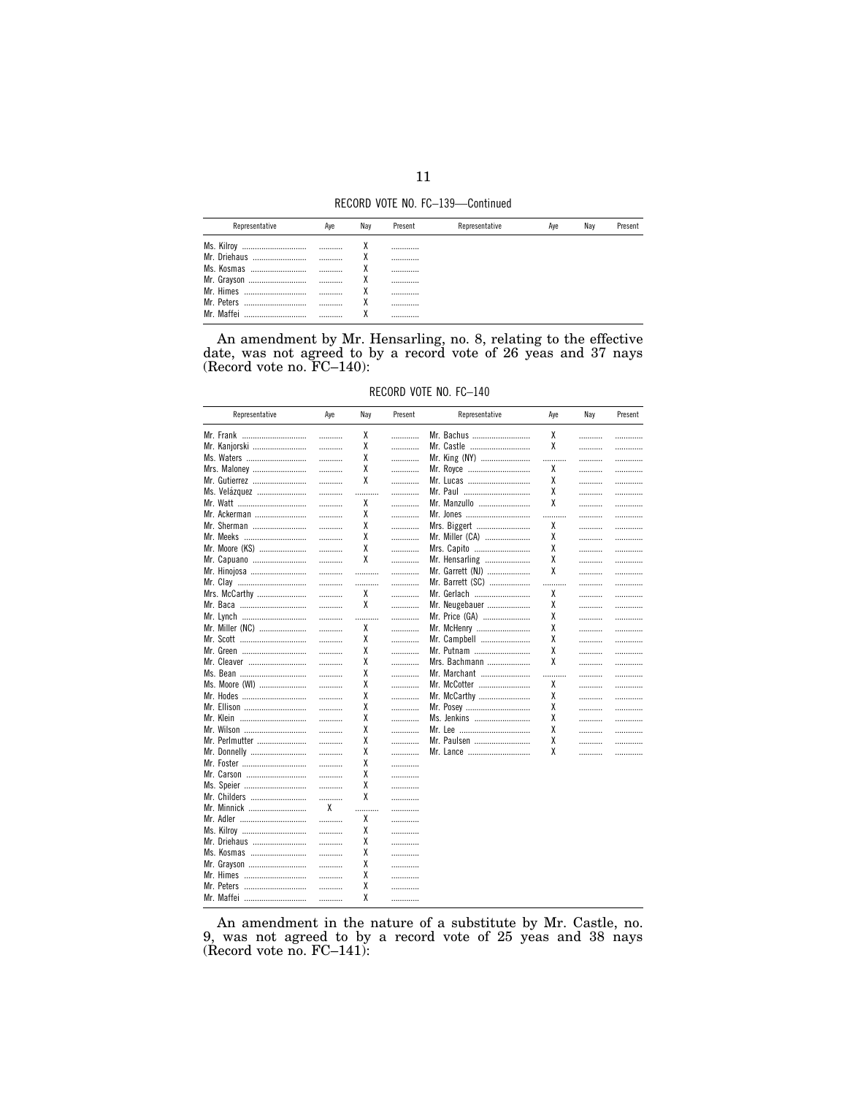RECORD VOTE NO. FC-139-Continued

| Representative | Ave | Nav | Present | Representative | Ave | Nav | Present |
|----------------|-----|-----|---------|----------------|-----|-----|---------|
|                |     |     |         |                |     |     |         |
| Mr. Driehaus   |     |     |         |                |     |     |         |
| Ms. Kosmas     |     |     |         |                |     |     |         |
|                | .   |     |         |                |     |     |         |
| Mr. Himes      |     |     |         |                |     |     |         |
| Mr. Peters     |     |     |         |                |     |     |         |
| Mr Maffei      |     |     |         |                |     |     |         |

An amendment by Mr. Hensarling, no. 8, relating to the effective date, was not agreed to by a record vote of  $26$  yeas and  $37$  nays (Record vote no.  $FC-140$ ):

RECORD VOTE NO. FC-140

| Representative  | Aye | Nay    | Present | Representative   | Aye | Nay | Present |
|-----------------|-----|--------|---------|------------------|-----|-----|---------|
| Mr. Frank       | .   | X      | .       | Mr. Bachus       | χ   | .   | .       |
| Mr. Kanjorski   | .   | χ      | .       | Mr. Castle       | X   | .   | .       |
| Ms. Waters      | .   | χ      | .       | Mr. King (NY)    | .   | .   | .       |
| Mrs. Maloney    | .   | χ      | .       | Mr. Royce        | χ   | .   | .       |
| Mr. Gutierrez   | .   | χ      | .       | Mr. Lucas        | χ   | .   |         |
| Ms. Velázquez   | .   |        | .       | Mr. Paul         | χ   |     |         |
|                 |     | .<br>χ |         |                  | χ   | .   | .       |
| Mr. Watt        | .   |        | .       | Mr. Manzullo     |     |     | .       |
| Mr. Ackerman    | .   | χ      | .       | Mr. Jones        | .   | .   | .       |
| Mr. Sherman     | .   | χ      | .       | Mrs. Biggert     | χ   | .   | .       |
| Mr. Meeks       | .   | χ      | .       | Mr. Miller (CA)  | χ   | .   |         |
| Mr. Moore (KS)  | .   | χ      | .       | Mrs. Capito      | χ   | .   |         |
| Mr. Capuano     | .   | χ      | .       | Mr. Hensarling   | χ   | .   |         |
| Mr. Hinojosa    | .   | .      | .       | Mr. Garrett (NJ) | χ   | .   | .       |
| Mr. Clay        | .   | .      | .       | Mr. Barrett (SC) | .   | .   | .       |
| Mrs. McCarthy   | .   | χ      | .       | Mr. Gerlach      | χ   | .   | .       |
| Mr. Baca        | .   | χ      | .       | Mr. Neugebauer   | χ   | .   |         |
| Mr. Lynch       | .   | .      | .       | Mr. Price (GA)   | χ   | .   |         |
| Mr. Miller (NC) | .   | χ      | .       | Mr. McHenry      | χ   | .   | .       |
| Mr. Scott       | .   | χ      | .       | Mr. Campbell     | χ   | .   |         |
| Mr. Green       |     | χ      | .       | Mr. Putnam       | χ   |     |         |
|                 | .   | χ      |         |                  | χ   | .   | .       |
| Mr. Cleaver     | .   |        | .       | Mrs. Bachmann    |     | .   | .       |
| Ms. Bean        | .   | χ      | .       | Mr. Marchant     | .   | .   | .       |
| Ms. Moore (WI)  | .   | χ      | .       | Mr. McCotter     | χ   | .   |         |
| Mr. Hodes       | .   | χ      | .       | Mr. McCarthy     | χ   | .   | .       |
| Mr. Ellison     | .   | χ      | .       | Mr. Posey        | χ   | .   | .       |
| Mr. Klein       | .   | χ      | .       | Ms. Jenkins      | χ   | .   |         |
| Mr. Wilson      | .   | χ      | .       |                  | χ   | .   | .       |
| Mr. Perlmutter  | .   | χ      | .       | Mr. Paulsen      | χ   |     | .       |
| Mr. Donnelly    | .   | χ      | .       | Mr. Lance        | χ   | .   | .       |
| Mr. Foster      | .   | χ      | .       |                  |     |     |         |
| Mr. Carson      | .   | χ      | .       |                  |     |     |         |
| Ms. Speier      | .   | χ      | .       |                  |     |     |         |
| Mr. Childers    | .   | χ      | .       |                  |     |     |         |
| Mr. Minnick     | X   | .      | .       |                  |     |     |         |
| Mr. Adler       | .   | χ      | .       |                  |     |     |         |
| Ms. Kilroy      | .   | χ      | .       |                  |     |     |         |
| Mr. Driehaus    | .   | χ      | .       |                  |     |     |         |
| Ms. Kosmas      |     | χ      |         |                  |     |     |         |
|                 | .   | χ      | .       |                  |     |     |         |
| Mr. Grayson     | .   |        | .       |                  |     |     |         |
| Mr. Himes       | .   | χ      | .       |                  |     |     |         |
| Mr. Peters      | .   | χ      | .       |                  |     |     |         |
| Mr. Maffei      | .   | χ      |         |                  |     |     |         |

An amendment in the nature of a substitute by Mr. Castle, no.<br>9, was not agreed to by a record vote of  $25$  yeas and  $38$  nays (Record vote no.  $\text{FC}-141$ ):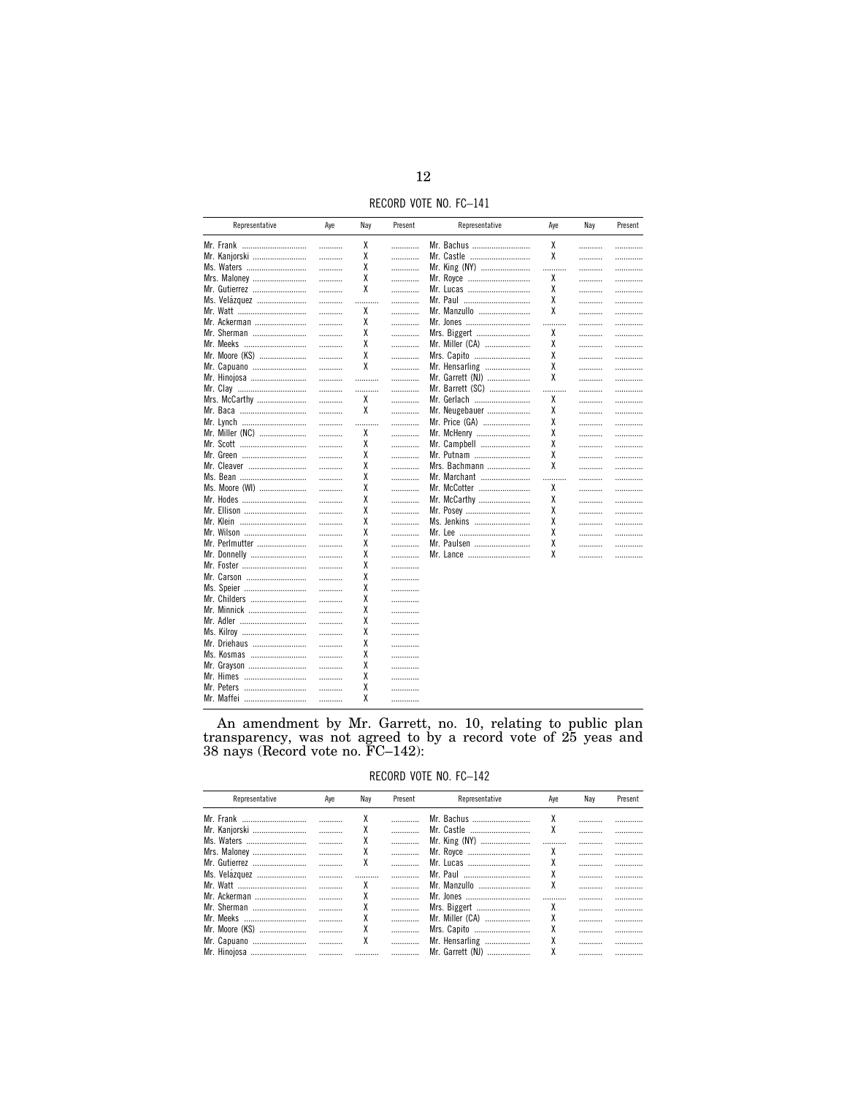RECORD VOTE NO. FC-141

| Representative  | Aye | Nay | Present | Representative   | Aye | Nay | Present |
|-----------------|-----|-----|---------|------------------|-----|-----|---------|
| Mr. Frank       | .   | χ   | .       | Mr. Bachus       | χ   | .   |         |
| Mr. Kanjorski   | .   | χ   | .       | Mr. Castle       | χ   | .   | .       |
| Ms. Waters      | .   | χ   | .       | Mr. King (NY)    | .   | .   | .       |
| Mrs. Maloney    | .   | χ   | .       | Mr. Royce        | χ   | .   | .       |
| Mr. Gutierrez   | .   | χ   | .       | Mr. Lucas        | χ   | .   | .       |
| Ms. Velázquez   | .   | .   | .       | Mr. Paul         | χ   | .   | .       |
| Mr. Watt        | .   | χ   | .       | Mr. Manzullo     | χ   | .   | .       |
| Mr. Ackerman    | .   | Х   | .       | Mr. Jones        | .   | .   | .       |
| Mr. Sherman     | .   | χ   | .       | Mrs. Biggert     | χ   | .   |         |
| Mr. Meeks       | .   | χ   | .       | Mr. Miller (CA)  | χ   | .   | .       |
| Mr. Moore (KS)  | .   | χ   | .       | Mrs. Capito      | χ   | .   | .       |
| Mr. Capuano     | .   | χ   | .       | Mr. Hensarling   | χ   | .   | .       |
| Mr. Hinojosa    | .   | .   | .       | Mr. Garrett (NJ) | χ   | .   | .       |
| Mr. Clay        | .   | .   | .       | Mr. Barrett (SC) | .   | .   | .       |
| Mrs. McCarthy   | .   | χ   | .       | Mr. Gerlach      | χ   | .   | .       |
| Mr. Baca        | .   | χ   | .       | Mr. Neugebauer   | χ   | .   | .       |
| Mr. Lynch       | .   | .   | .       | Mr. Price (GA)   | χ   | .   | .       |
| Mr. Miller (NC) | .   | χ   | .       | Mr. McHenry      | χ   | .   | .       |
| Mr. Scott       | .   | χ   | .       | Mr. Campbell     | χ   | .   | .       |
| Mr. Green       | .   | χ   | .       | Mr. Putnam       | χ   | .   | .       |
| Mr. Cleaver     | .   | χ   | .       | Mrs. Bachmann    | χ   | .   | .       |
| Ms. Bean        | .   | χ   | .       | Mr. Marchant     | .   |     | .       |
| Ms. Moore (WI)  | .   | χ   | .       | Mr. McCotter     | χ   | .   | .       |
| Mr. Hodes       | .   | χ   | .       | Mr. McCarthy     | χ   | .   | .       |
| Mr. Ellison     | .   | χ   | .       | Mr. Posey        | χ   | .   | .       |
| Mr. Klein       | .   | χ   | .       | Ms. Jenkins      | χ   |     | .       |
| Mr. Wilson      | .   | χ   | .       |                  | χ   | .   | .       |
| Mr. Perlmutter  | .   | χ   | .       | Mr. Paulsen      | χ   | .   | .       |
| Mr. Donnelly    | .   | χ   | .       | Mr. Lance        | χ   | .   | .       |
| Mr. Foster      | .   | χ   | .       |                  |     |     |         |
| Mr. Carson      | .   | χ   | .       |                  |     |     |         |
| Ms. Speier      | .   | χ   | .       |                  |     |     |         |
| Mr. Childers    | .   | χ   | .       |                  |     |     |         |
| Mr. Minnick     | .   | Х   | .       |                  |     |     |         |
| Mr. Adler       | .   | χ   | .       |                  |     |     |         |
| Ms. Kilroy      | .   | χ   |         |                  |     |     |         |
| Mr. Driehaus    | .   | χ   | .       |                  |     |     |         |
| Ms. Kosmas      | .   | χ   | .       |                  |     |     |         |
| Mr. Grayson     | .   | χ   |         |                  |     |     |         |
| Mr. Himes       | .   | χ   |         |                  |     |     |         |
| Mr. Peters      | .   | χ   | .<br>.  |                  |     |     |         |
| Mr. Maffei      |     | χ   |         |                  |     |     |         |
|                 | .   |     | .       |                  |     |     |         |

An amendment by Mr. Garrett, no. 10, relating to public plan<br>transparency, was not agreed to by a record vote of 25 yeas and<br>38 nays (Record vote no.  $FC-142$ ):

RECORD VOTE NO. FC-142

| Representative | Ave | Nav | Present | Representative   | Ave | Nav | Present |
|----------------|-----|-----|---------|------------------|-----|-----|---------|
|                |     | χ   |         | Mr. Bachus       |     |     |         |
| Mr. Kanjorski  | .   |     | .       | Mr. Castle       | χ   |     |         |
|                |     |     | .       | Mr. King (NY)    |     |     |         |
| Mrs. Maloney   | .   |     | .       | Mr. Royce        |     |     |         |
| Mr. Gutierrez  |     | x   |         | Mr. Lucas        |     |     |         |
| Ms. Velázquez  | .   |     | .       | Mr. Paul         |     |     |         |
| Mr. Watt       |     |     |         | Mr. Manzullo     | χ   |     |         |
| Mr. Ackerman   |     |     | .       | Mr. Jones        |     |     |         |
| Mr. Sherman    |     |     |         | Mrs. Biggert     |     |     |         |
| Mr. Meeks      |     |     | .       | Mr. Miller (CA)  |     |     |         |
| Mr. Moore (KS) |     | χ   |         | Mrs. Capito      |     |     |         |
| Mr. Capuano    |     | χ   |         | Mr. Hensarling   |     |     |         |
| Mr. Hinojosa   |     |     |         | Mr. Garrett (NJ) |     |     |         |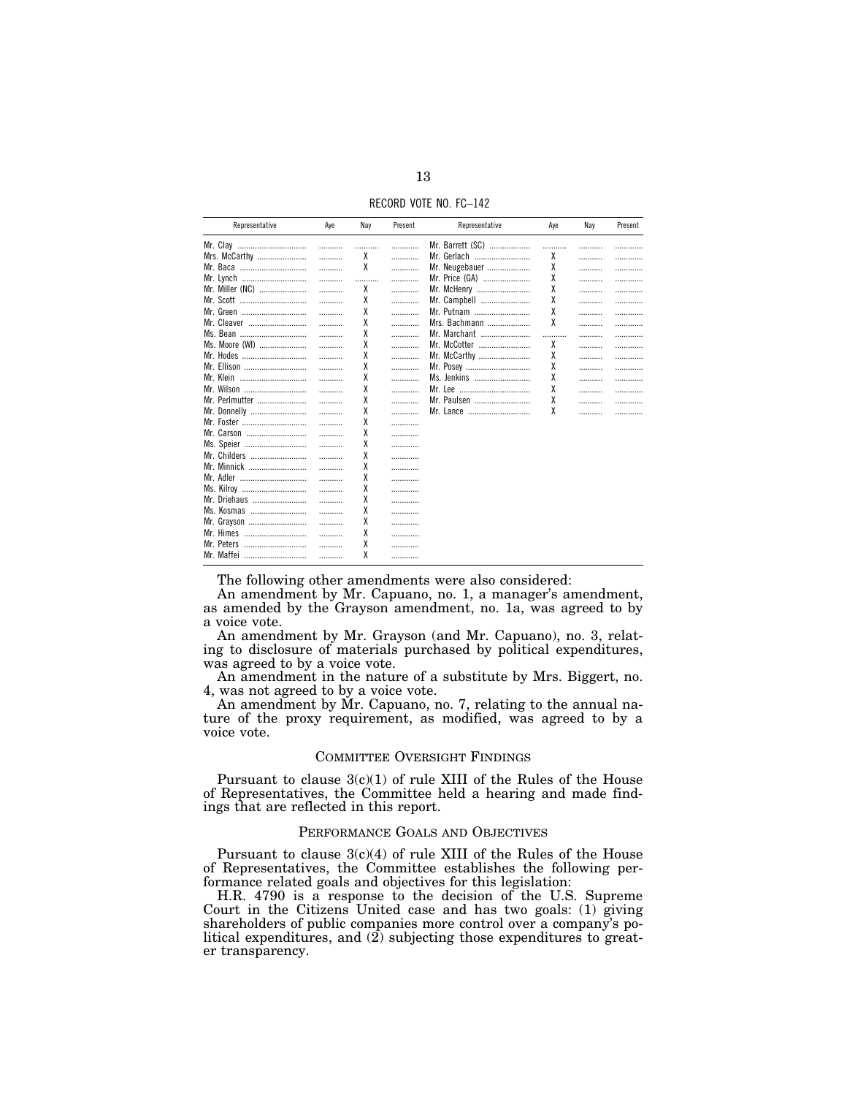RECORD VOTE NO. FC–142

| Representative  | Aye | Nay | Present | Representative   | Aye | Nay | Present |
|-----------------|-----|-----|---------|------------------|-----|-----|---------|
| Mr. Clay        | .   |     | .       | Mr. Barrett (SC) |     |     | .       |
| Mrs. McCarthy   | .   | χ   | .       | Mr. Gerlach      | χ   |     | .       |
| Mr. Baca        | .   | χ   | .       | Mr. Neugebauer   | χ   |     | .       |
| Mr. Lynch       | .   |     | .       | Mr. Price (GA)   | χ   |     | .       |
| Mr. Miller (NC) | .   | χ   | .       | Mr. McHenry      | χ   |     | .       |
| Mr. Scott       | .   | χ   | .       | Mr. Campbell     | χ   |     | .       |
| Mr. Green       | .   | χ   | .       | Mr. Putnam       | χ   |     | .       |
| Mr. Cleaver     |     | χ   | .       | Mrs. Bachmann    | X   | .   | .       |
| Ms. Bean        | .   | χ   | .       | Mr. Marchant     |     | .   | .       |
| Ms. Moore (WI)  | .   | χ   | .       | Mr. McCotter     | χ   |     | .       |
| Mr. Hodes       | .   | χ   | .       | Mr. McCarthy     | χ   |     | .       |
| Mr. Ellison     | .   | χ   | .       | Mr. Posey        | χ   |     | .       |
| Mr. Klein       |     | χ   | .       | Ms. Jenkins      | χ   |     | .       |
| Mr. Wilson      | .   | χ   | .       |                  | χ   |     | .       |
| Mr. Perlmutter  | .   | χ   | .       | Mr. Paulsen      | χ   |     | .       |
| Mr. Donnelly    | .   | χ   | .       |                  | χ   |     | .       |
| Mr. Foster      | .   | χ   | .       |                  |     |     |         |
| Mr. Carson      | .   | χ   |         |                  |     |     |         |
| Ms. Speier      | .   | χ   | .       |                  |     |     |         |
| Mr. Childers    | .   | χ   | .       |                  |     |     |         |
| Mr. Minnick     | .   | χ   |         |                  |     |     |         |
| Mr. Adler       | .   | χ   | .       |                  |     |     |         |
| Ms. Kilroy      | .   | χ   | .       |                  |     |     |         |
| Mr. Driehaus    | .   | χ   | .       |                  |     |     |         |
| Ms. Kosmas      | .   | χ   | .       |                  |     |     |         |
| Mr. Grayson     | .   | χ   |         |                  |     |     |         |
| Mr. Himes       | .   | χ   | .       |                  |     |     |         |
| Mr. Peters      |     | χ   | .       |                  |     |     |         |
| Mr. Maffei      |     | χ   |         |                  |     |     |         |

The following other amendments were also considered:

An amendment by Mr. Capuano, no. 1, a manager's amendment, as amended by the Grayson amendment, no. 1a, was agreed to by a voice vote.

An amendment by Mr. Grayson (and Mr. Capuano), no. 3, relating to disclosure of materials purchased by political expenditures, was agreed to by a voice vote.

An amendment in the nature of a substitute by Mrs. Biggert, no. 4, was not agreed to by a voice vote.

An amendment by Mr. Capuano, no. 7, relating to the annual nature of the proxy requirement, as modified, was agreed to by a voice vote.

## COMMITTEE OVERSIGHT FINDINGS

Pursuant to clause  $3(c)(1)$  of rule XIII of the Rules of the House of Representatives, the Committee held a hearing and made findings that are reflected in this report.

### PERFORMANCE GOALS AND OBJECTIVES

Pursuant to clause  $3(c)(4)$  of rule XIII of the Rules of the House of Representatives, the Committee establishes the following performance related goals and objectives for this legislation:

H.R. 4790 is a response to the decision of the U.S. Supreme Court in the Citizens United case and has two goals: (1) giving shareholders of public companies more control over a company's political expenditures, and (2) subjecting those expenditures to greater transparency.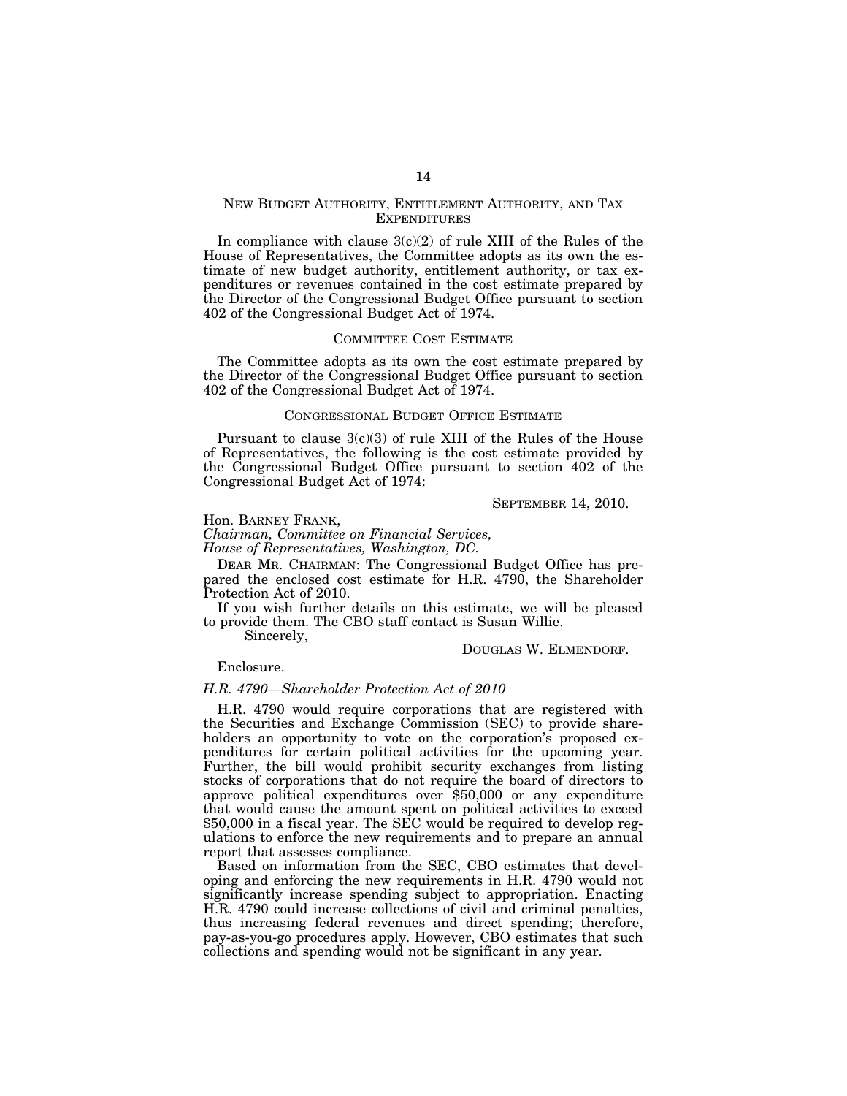### NEW BUDGET AUTHORITY, ENTITLEMENT AUTHORITY, AND TAX **EXPENDITURES**

In compliance with clause  $3(c)(2)$  of rule XIII of the Rules of the House of Representatives, the Committee adopts as its own the estimate of new budget authority, entitlement authority, or tax expenditures or revenues contained in the cost estimate prepared by the Director of the Congressional Budget Office pursuant to section 402 of the Congressional Budget Act of 1974.

#### COMMITTEE COST ESTIMATE

The Committee adopts as its own the cost estimate prepared by the Director of the Congressional Budget Office pursuant to section 402 of the Congressional Budget Act of 1974.

### CONGRESSIONAL BUDGET OFFICE ESTIMATE

Pursuant to clause  $3(c)(3)$  of rule XIII of the Rules of the House of Representatives, the following is the cost estimate provided by the Congressional Budget Office pursuant to section 402 of the Congressional Budget Act of 1974:

SEPTEMBER 14, 2010.

#### Hon. BARNEY FRANK,

*Chairman, Committee on Financial Services, House of Representatives, Washington, DC.* 

DEAR MR. CHAIRMAN: The Congressional Budget Office has prepared the enclosed cost estimate for H.R. 4790, the Shareholder Protection Act of 2010.

If you wish further details on this estimate, we will be pleased to provide them. The CBO staff contact is Susan Willie.

Sincerely,

DOUGLAS W. ELMENDORF.

Enclosure.

#### *H.R. 4790—Shareholder Protection Act of 2010*

H.R. 4790 would require corporations that are registered with the Securities and Exchange Commission (SEC) to provide shareholders an opportunity to vote on the corporation's proposed expenditures for certain political activities for the upcoming year. Further, the bill would prohibit security exchanges from listing stocks of corporations that do not require the board of directors to approve political expenditures over \$50,000 or any expenditure that would cause the amount spent on political activities to exceed \$50,000 in a fiscal year. The SEC would be required to develop regulations to enforce the new requirements and to prepare an annual report that assesses compliance.

Based on information from the SEC, CBO estimates that developing and enforcing the new requirements in H.R. 4790 would not significantly increase spending subject to appropriation. Enacting H.R. 4790 could increase collections of civil and criminal penalties, thus increasing federal revenues and direct spending; therefore, pay-as-you-go procedures apply. However, CBO estimates that such collections and spending would not be significant in any year.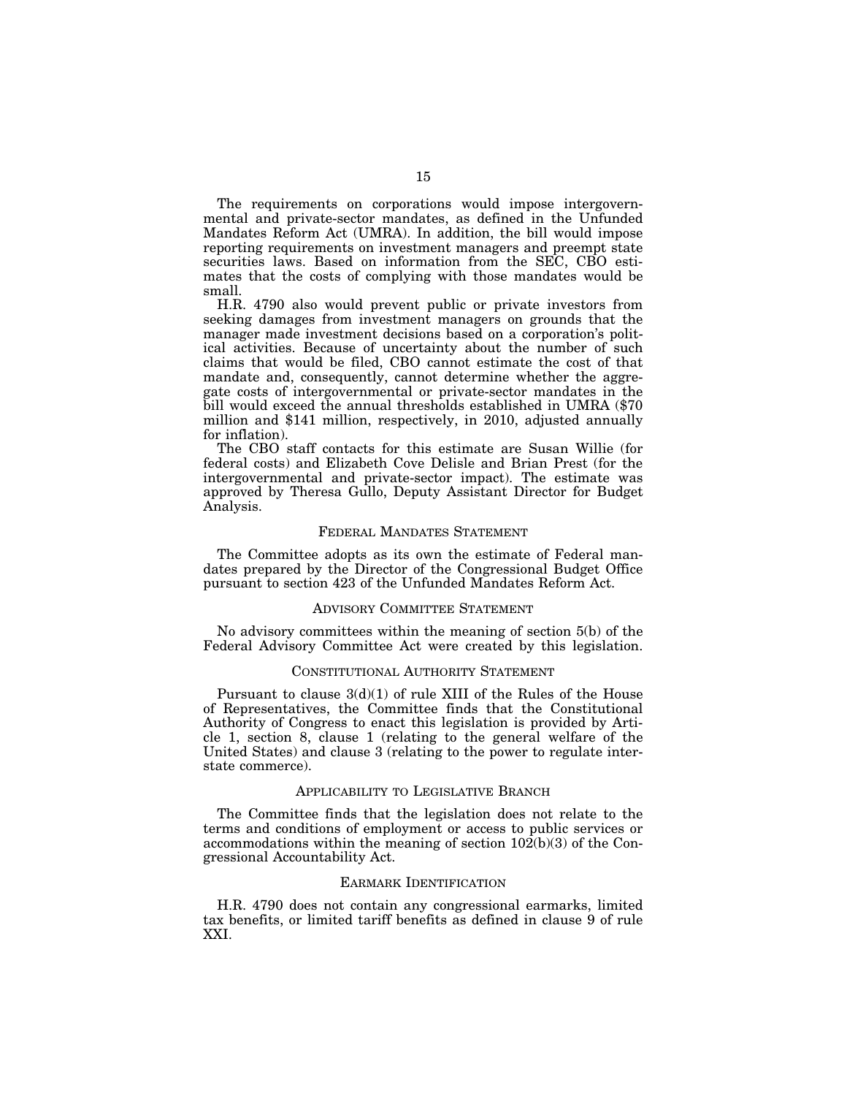The requirements on corporations would impose intergovernmental and private-sector mandates, as defined in the Unfunded Mandates Reform Act (UMRA). In addition, the bill would impose reporting requirements on investment managers and preempt state securities laws. Based on information from the SEC, CBO estimates that the costs of complying with those mandates would be small.

H.R. 4790 also would prevent public or private investors from seeking damages from investment managers on grounds that the manager made investment decisions based on a corporation's political activities. Because of uncertainty about the number of such claims that would be filed, CBO cannot estimate the cost of that mandate and, consequently, cannot determine whether the aggregate costs of intergovernmental or private-sector mandates in the bill would exceed the annual thresholds established in UMRA (\$70 million and \$141 million, respectively, in 2010, adjusted annually for inflation).

The CBO staff contacts for this estimate are Susan Willie (for federal costs) and Elizabeth Cove Delisle and Brian Prest (for the intergovernmental and private-sector impact). The estimate was approved by Theresa Gullo, Deputy Assistant Director for Budget Analysis.

#### FEDERAL MANDATES STATEMENT

The Committee adopts as its own the estimate of Federal mandates prepared by the Director of the Congressional Budget Office pursuant to section 423 of the Unfunded Mandates Reform Act.

### ADVISORY COMMITTEE STATEMENT

No advisory committees within the meaning of section 5(b) of the Federal Advisory Committee Act were created by this legislation.

#### CONSTITUTIONAL AUTHORITY STATEMENT

Pursuant to clause  $3(d)(1)$  of rule XIII of the Rules of the House of Representatives, the Committee finds that the Constitutional Authority of Congress to enact this legislation is provided by Article 1, section 8, clause 1 (relating to the general welfare of the United States) and clause 3 (relating to the power to regulate interstate commerce).

### APPLICABILITY TO LEGISLATIVE BRANCH

The Committee finds that the legislation does not relate to the terms and conditions of employment or access to public services or accommodations within the meaning of section 102(b)(3) of the Congressional Accountability Act.

### EARMARK IDENTIFICATION

H.R. 4790 does not contain any congressional earmarks, limited tax benefits, or limited tariff benefits as defined in clause 9 of rule XXI.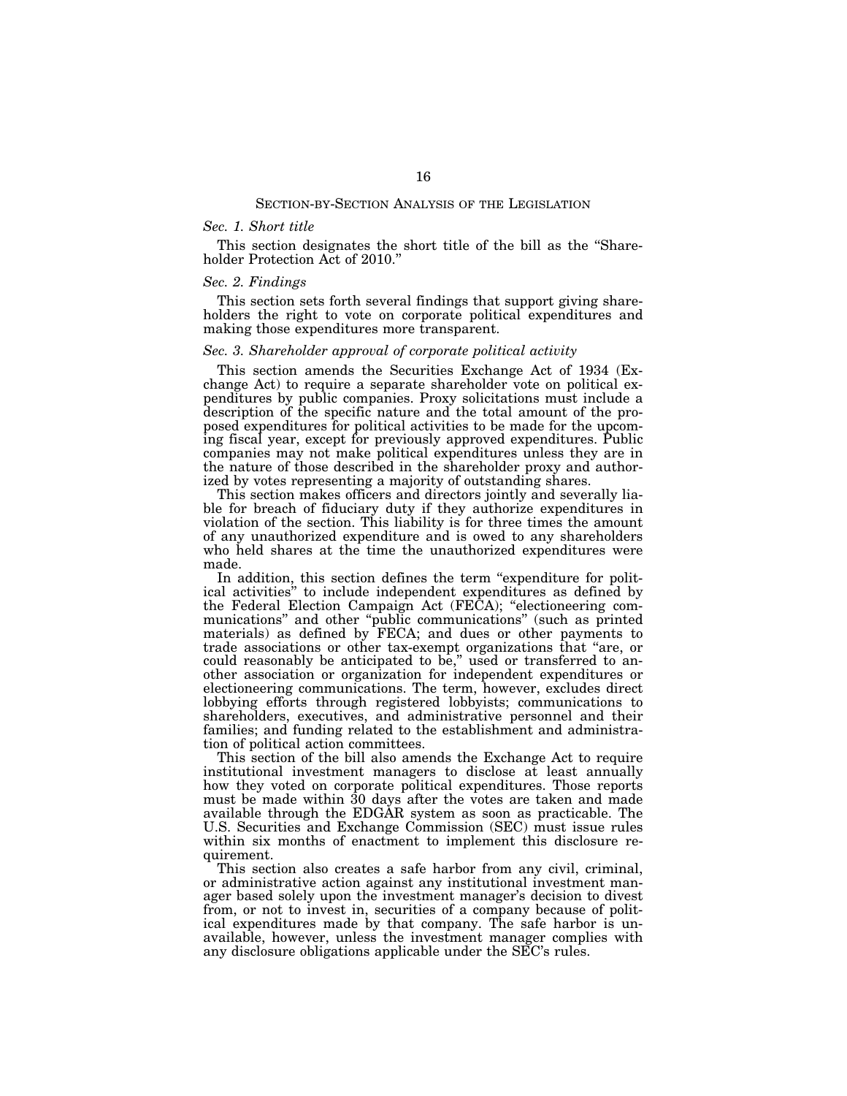#### *Sec. 1. Short title*

This section designates the short title of the bill as the ''Shareholder Protection Act of 2010.''

### *Sec. 2. Findings*

This section sets forth several findings that support giving shareholders the right to vote on corporate political expenditures and making those expenditures more transparent.

### *Sec. 3. Shareholder approval of corporate political activity*

This section amends the Securities Exchange Act of 1934 (Exchange Act) to require a separate shareholder vote on political expenditures by public companies. Proxy solicitations must include a description of the specific nature and the total amount of the proposed expenditures for political activities to be made for the upcoming fiscal year, except for previously approved expenditures. Public companies may not make political expenditures unless they are in the nature of those described in the shareholder proxy and authorized by votes representing a majority of outstanding shares.

This section makes officers and directors jointly and severally liable for breach of fiduciary duty if they authorize expenditures in violation of the section. This liability is for three times the amount of any unauthorized expenditure and is owed to any shareholders who held shares at the time the unauthorized expenditures were made.

In addition, this section defines the term "expenditure for political activities'' to include independent expenditures as defined by the Federal Election Campaign Act (FECA); ''electioneering communications'' and other ''public communications'' (such as printed materials) as defined by FECA; and dues or other payments to trade associations or other tax-exempt organizations that ''are, or could reasonably be anticipated to be," used or transferred to another association or organization for independent expenditures or electioneering communications. The term, however, excludes direct lobbying efforts through registered lobbyists; communications to shareholders, executives, and administrative personnel and their families; and funding related to the establishment and administration of political action committees.

This section of the bill also amends the Exchange Act to require institutional investment managers to disclose at least annually how they voted on corporate political expenditures. Those reports must be made within 30 days after the votes are taken and made available through the EDGAR system as soon as practicable. The U.S. Securities and Exchange Commission (SEC) must issue rules within six months of enactment to implement this disclosure requirement.

This section also creates a safe harbor from any civil, criminal, or administrative action against any institutional investment manager based solely upon the investment manager's decision to divest from, or not to invest in, securities of a company because of political expenditures made by that company. The safe harbor is unavailable, however, unless the investment manager complies with any disclosure obligations applicable under the SEC's rules.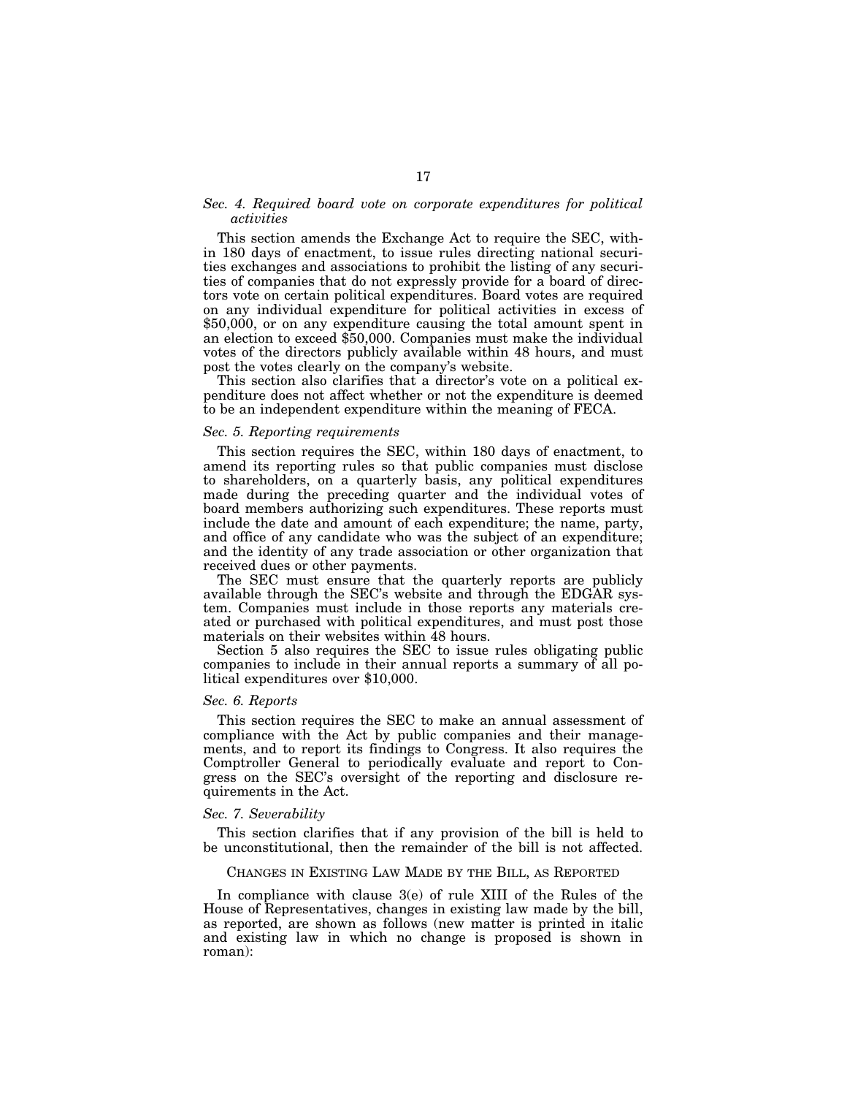## *Sec. 4. Required board vote on corporate expenditures for political activities*

This section amends the Exchange Act to require the SEC, within 180 days of enactment, to issue rules directing national securities exchanges and associations to prohibit the listing of any securities of companies that do not expressly provide for a board of directors vote on certain political expenditures. Board votes are required on any individual expenditure for political activities in excess of \$50,000, or on any expenditure causing the total amount spent in an election to exceed \$50,000. Companies must make the individual votes of the directors publicly available within 48 hours, and must post the votes clearly on the company's website.

This section also clarifies that a director's vote on a political expenditure does not affect whether or not the expenditure is deemed to be an independent expenditure within the meaning of FECA.

### *Sec. 5. Reporting requirements*

This section requires the SEC, within 180 days of enactment, to amend its reporting rules so that public companies must disclose to shareholders, on a quarterly basis, any political expenditures made during the preceding quarter and the individual votes of board members authorizing such expenditures. These reports must include the date and amount of each expenditure; the name, party, and office of any candidate who was the subject of an expenditure; and the identity of any trade association or other organization that received dues or other payments.

The SEC must ensure that the quarterly reports are publicly available through the SEC's website and through the EDGAR system. Companies must include in those reports any materials created or purchased with political expenditures, and must post those materials on their websites within 48 hours.

Section 5 also requires the SEC to issue rules obligating public companies to include in their annual reports a summary of all political expenditures over \$10,000.

### *Sec. 6. Reports*

This section requires the SEC to make an annual assessment of compliance with the Act by public companies and their managements, and to report its findings to Congress. It also requires the Comptroller General to periodically evaluate and report to Congress on the SEC's oversight of the reporting and disclosure requirements in the Act.

#### *Sec. 7. Severability*

This section clarifies that if any provision of the bill is held to be unconstitutional, then the remainder of the bill is not affected.

#### CHANGES IN EXISTING LAW MADE BY THE BILL, AS REPORTED

In compliance with clause 3(e) of rule XIII of the Rules of the House of Representatives, changes in existing law made by the bill, as reported, are shown as follows (new matter is printed in italic and existing law in which no change is proposed is shown in roman):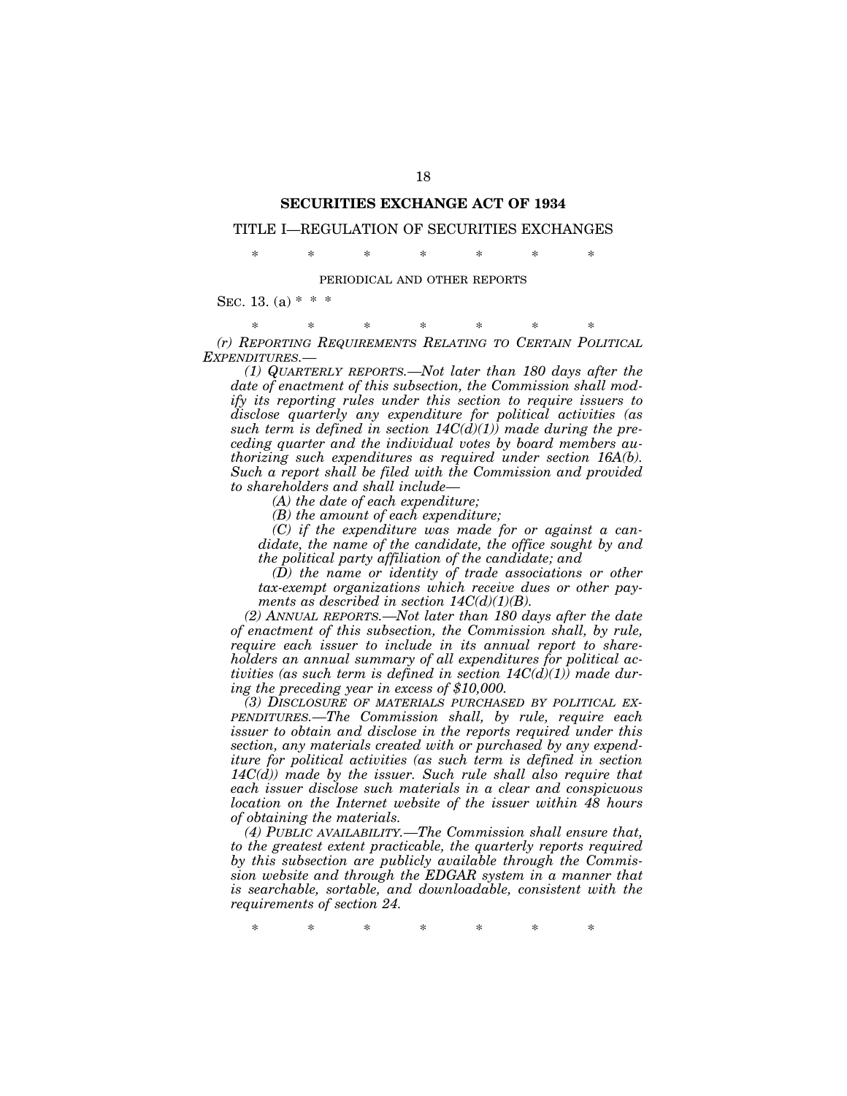## **SECURITIES EXCHANGE ACT OF 1934**

### TITLE I—REGULATION OF SECURITIES EXCHANGES

\* \* \* \* \* \* \*

#### PERIODICAL AND OTHER REPORTS

SEC. 13. (a)  $* * *$ 

\* \* \* \* \* \* \* *(r) REPORTING REQUIREMENTS RELATING TO CERTAIN POLITICAL EXPENDITURES.—* 

*(1) QUARTERLY REPORTS.—Not later than 180 days after the date of enactment of this subsection, the Commission shall modify its reporting rules under this section to require issuers to disclose quarterly any expenditure for political activities (as such term is defined in section 14C(d)(1)) made during the preceding quarter and the individual votes by board members authorizing such expenditures as required under section 16A(b). Such a report shall be filed with the Commission and provided to shareholders and shall include—* 

*(A) the date of each expenditure;* 

*(B) the amount of each expenditure;* 

*(C) if the expenditure was made for or against a candidate, the name of the candidate, the office sought by and the political party affiliation of the candidate; and* 

*(D) the name or identity of trade associations or other tax-exempt organizations which receive dues or other payments as described in section 14C(d)(1)(B).* 

*(2) ANNUAL REPORTS.—Not later than 180 days after the date of enactment of this subsection, the Commission shall, by rule, require each issuer to include in its annual report to shareholders an annual summary of all expenditures for political activities (as such term is defined in section 14C(d)(1)) made during the preceding year in excess of \$10,000.* 

*(3) DISCLOSURE OF MATERIALS PURCHASED BY POLITICAL EX-PENDITURES.—The Commission shall, by rule, require each issuer to obtain and disclose in the reports required under this section, any materials created with or purchased by any expenditure for political activities (as such term is defined in section 14C(d)) made by the issuer. Such rule shall also require that each issuer disclose such materials in a clear and conspicuous location on the Internet website of the issuer within 48 hours of obtaining the materials.* 

*(4) PUBLIC AVAILABILITY.—The Commission shall ensure that, to the greatest extent practicable, the quarterly reports required by this subsection are publicly available through the Commission website and through the EDGAR system in a manner that is searchable, sortable, and downloadable, consistent with the requirements of section 24.* 

\* \* \* \* \* \* \*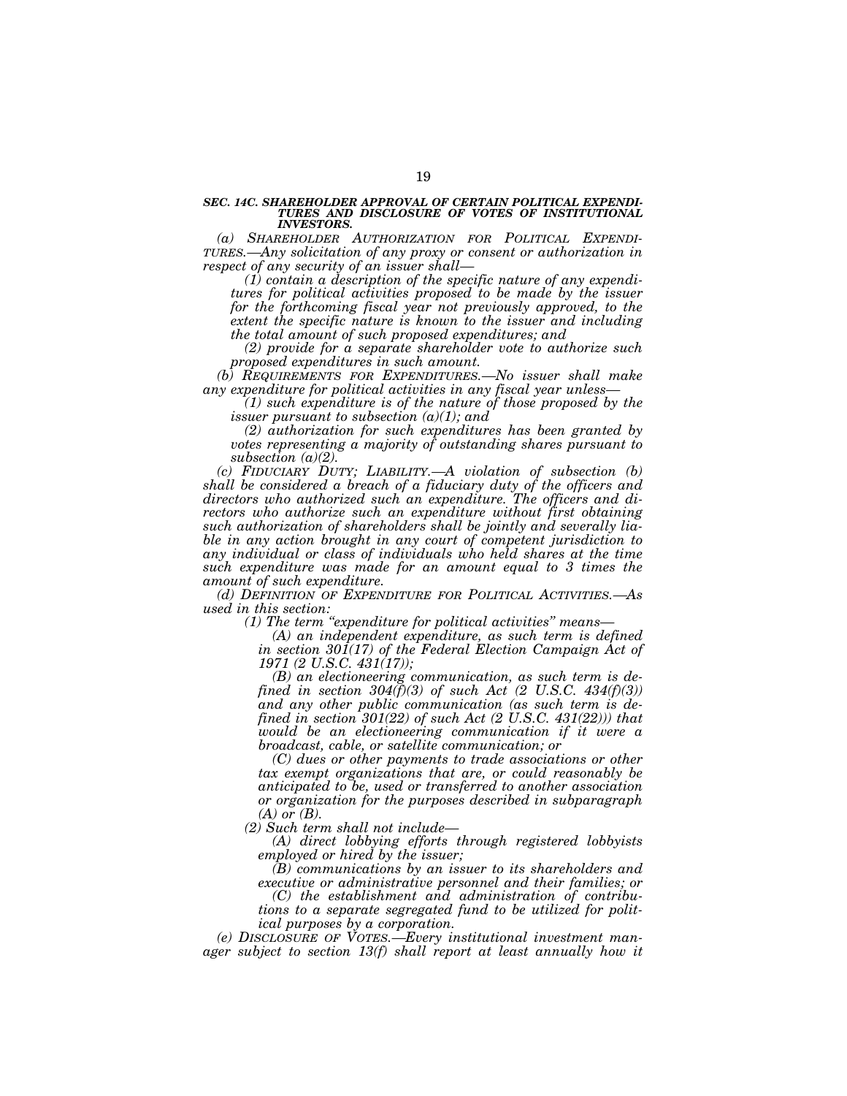# *SEC. 14C. SHAREHOLDER APPROVAL OF CERTAIN POLITICAL EXPENDI-TURES AND DISCLOSURE OF VOTES OF INSTITUTIONAL INVESTORS.*

*(a) SHAREHOLDER AUTHORIZATION FOR POLITICAL EXPENDI- TURES.—Any solicitation of any proxy or consent or authorization in respect of any security of an issuer shall—* 

*(1) contain a description of the specific nature of any expenditures for political activities proposed to be made by the issuer for the forthcoming fiscal year not previously approved, to the extent the specific nature is known to the issuer and including the total amount of such proposed expenditures; and* 

*(2) provide for a separate shareholder vote to authorize such proposed expenditures in such amount.* 

*(b) REQUIREMENTS FOR EXPENDITURES.—No issuer shall make any expenditure for political activities in any fiscal year unless—* 

*(1) such expenditure is of the nature of those proposed by the issuer pursuant to subsection (a)(1); and* 

*(2) authorization for such expenditures has been granted by votes representing a majority of outstanding shares pursuant to subsection (a)(2).* 

*(c) FIDUCIARY DUTY; LIABILITY.—A violation of subsection (b) shall be considered a breach of a fiduciary duty of the officers and directors who authorized such an expenditure. The officers and directors who authorize such an expenditure without first obtaining such authorization of shareholders shall be jointly and severally liable in any action brought in any court of competent jurisdiction to any individual or class of individuals who held shares at the time such expenditure was made for an amount equal to 3 times the amount of such expenditure.* 

*(d) DEFINITION OF EXPENDITURE FOR POLITICAL ACTIVITIES.—As used in this section:* 

*(1) The term ''expenditure for political activities'' means—* 

*(A) an independent expenditure, as such term is defined*  in section 301(17) of the Federal Election Campaign Act of *1971 (2 U.S.C. 431(17));* 

*(B) an electioneering communication, as such term is defined in section 304(f)(3) of such Act (2 U.S.C. 434(f)(3)) and any other public communication (as such term is defined in section 301(22) of such Act (2 U.S.C. 431(22))) that would be an electioneering communication if it were a broadcast, cable, or satellite communication; or* 

*(C) dues or other payments to trade associations or other tax exempt organizations that are, or could reasonably be anticipated to be, used or transferred to another association or organization for the purposes described in subparagraph (A) or (B).* 

*(2) Such term shall not include—* 

*(A) direct lobbying efforts through registered lobbyists employed or hired by the issuer;* 

*(B) communications by an issuer to its shareholders and executive or administrative personnel and their families; or* 

*(C) the establishment and administration of contributions to a separate segregated fund to be utilized for political purposes by a corporation.* 

*(e) DISCLOSURE OF VOTES.—Every institutional investment manager subject to section 13(f) shall report at least annually how it*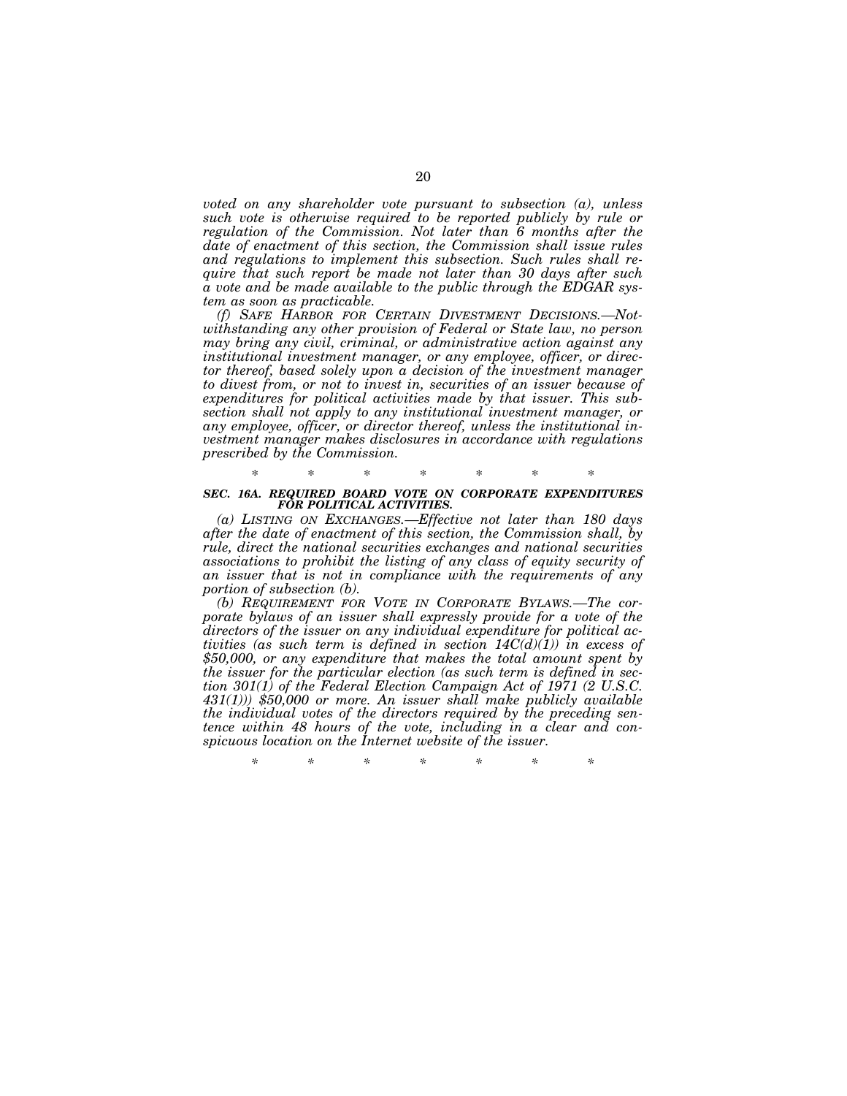*voted on any shareholder vote pursuant to subsection (a), unless such vote is otherwise required to be reported publicly by rule or regulation of the Commission. Not later than 6 months after the date of enactment of this section, the Commission shall issue rules and regulations to implement this subsection. Such rules shall require that such report be made not later than 30 days after such a vote and be made available to the public through the EDGAR system as soon as practicable.* 

*(f) SAFE HARBOR FOR CERTAIN DIVESTMENT DECISIONS.—Notwithstanding any other provision of Federal or State law, no person may bring any civil, criminal, or administrative action against any institutional investment manager, or any employee, officer, or director thereof, based solely upon a decision of the investment manager*  to divest from, or not to invest in, securities of an issuer because of *expenditures for political activities made by that issuer. This subsection shall not apply to any institutional investment manager, or any employee, officer, or director thereof, unless the institutional investment manager makes disclosures in accordance with regulations prescribed by the Commission.* 

### \* \* \* \* \* \* \* *SEC. 16A. REQUIRED BOARD VOTE ON CORPORATE EXPENDITURES FOR POLITICAL ACTIVITIES.*

*(a) LISTING ON EXCHANGES.—Effective not later than 180 days after the date of enactment of this section, the Commission shall, by rule, direct the national securities exchanges and national securities associations to prohibit the listing of any class of equity security of an issuer that is not in compliance with the requirements of any portion of subsection (b).* 

*(b) REQUIREMENT FOR VOTE IN CORPORATE BYLAWS.—The corporate bylaws of an issuer shall expressly provide for a vote of the directors of the issuer on any individual expenditure for political activities (as such term is defined in section 14C(d)(1)) in excess of \$50,000, or any expenditure that makes the total amount spent by the issuer for the particular election (as such term is defined in section 301(1) of the Federal Election Campaign Act of 1971 (2 U.S.C. 431(1))) \$50,000 or more. An issuer shall make publicly available the individual votes of the directors required by the preceding sentence within 48 hours of the vote, including in a clear and conspicuous location on the Internet website of the issuer.* 

*\* \* \* \* \* \* \**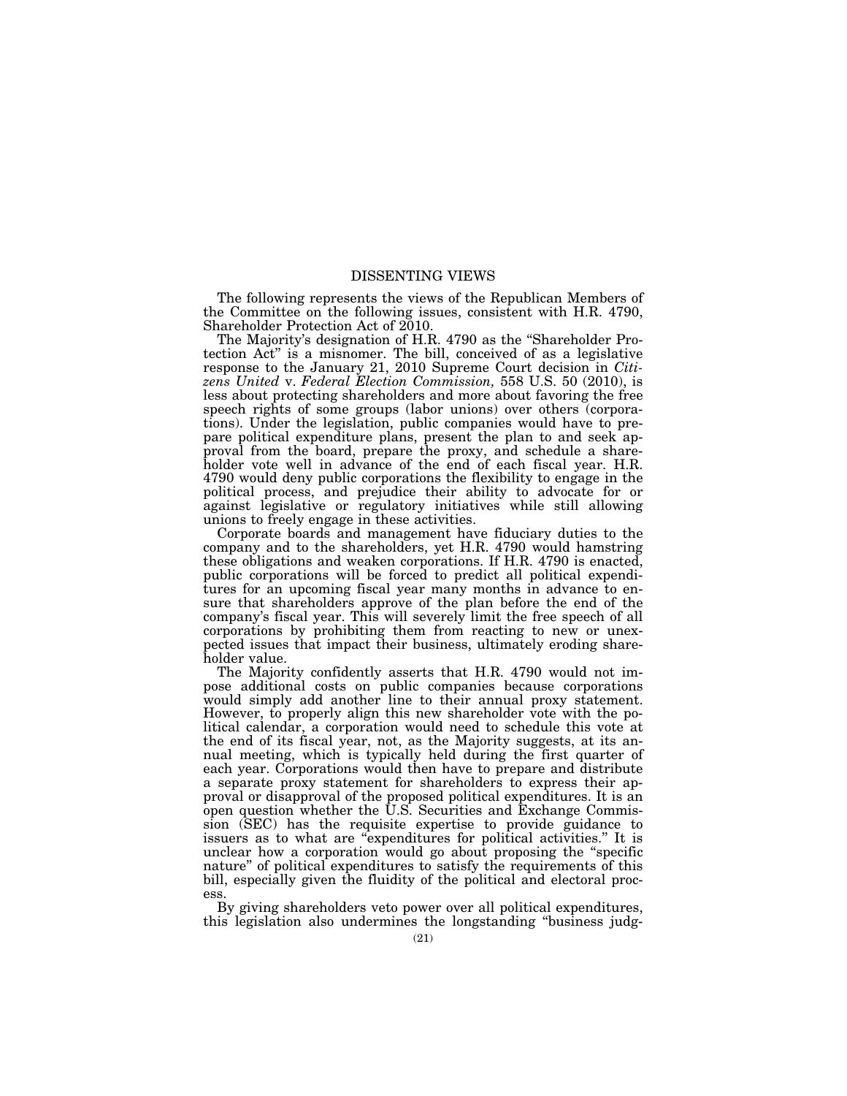### DISSENTING VIEWS

The following represents the views of the Republican Members of the Committee on the following issues, consistent with H.R. 4790, Shareholder Protection Act of 2010.

The Majority's designation of H.R. 4790 as the ''Shareholder Protection Act'' is a misnomer. The bill, conceived of as a legislative response to the January 21, 2010 Supreme Court decision in *Citizens United* v. *Federal Election Commission,* 558 U.S. 50 (2010), is less about protecting shareholders and more about favoring the free speech rights of some groups (labor unions) over others (corporations). Under the legislation, public companies would have to prepare political expenditure plans, present the plan to and seek approval from the board, prepare the proxy, and schedule a shareholder vote well in advance of the end of each fiscal year. H.R. 4790 would deny public corporations the flexibility to engage in the political process, and prejudice their ability to advocate for or against legislative or regulatory initiatives while still allowing unions to freely engage in these activities.

Corporate boards and management have fiduciary duties to the company and to the shareholders, yet H.R. 4790 would hamstring these obligations and weaken corporations. If H.R. 4790 is enacted, public corporations will be forced to predict all political expenditures for an upcoming fiscal year many months in advance to ensure that shareholders approve of the plan before the end of the company's fiscal year. This will severely limit the free speech of all corporations by prohibiting them from reacting to new or unexpected issues that impact their business, ultimately eroding shareholder value.

The Majority confidently asserts that H.R. 4790 would not impose additional costs on public companies because corporations would simply add another line to their annual proxy statement. However, to properly align this new shareholder vote with the political calendar, a corporation would need to schedule this vote at the end of its fiscal year, not, as the Majority suggests, at its annual meeting, which is typically held during the first quarter of each year. Corporations would then have to prepare and distribute a separate proxy statement for shareholders to express their approval or disapproval of the proposed political expenditures. It is an open question whether the U.S. Securities and Exchange Commission (SEC) has the requisite expertise to provide guidance to issuers as to what are ''expenditures for political activities.'' It is unclear how a corporation would go about proposing the ''specific nature'' of political expenditures to satisfy the requirements of this bill, especially given the fluidity of the political and electoral process.

By giving shareholders veto power over all political expenditures, this legislation also undermines the longstanding ''business judg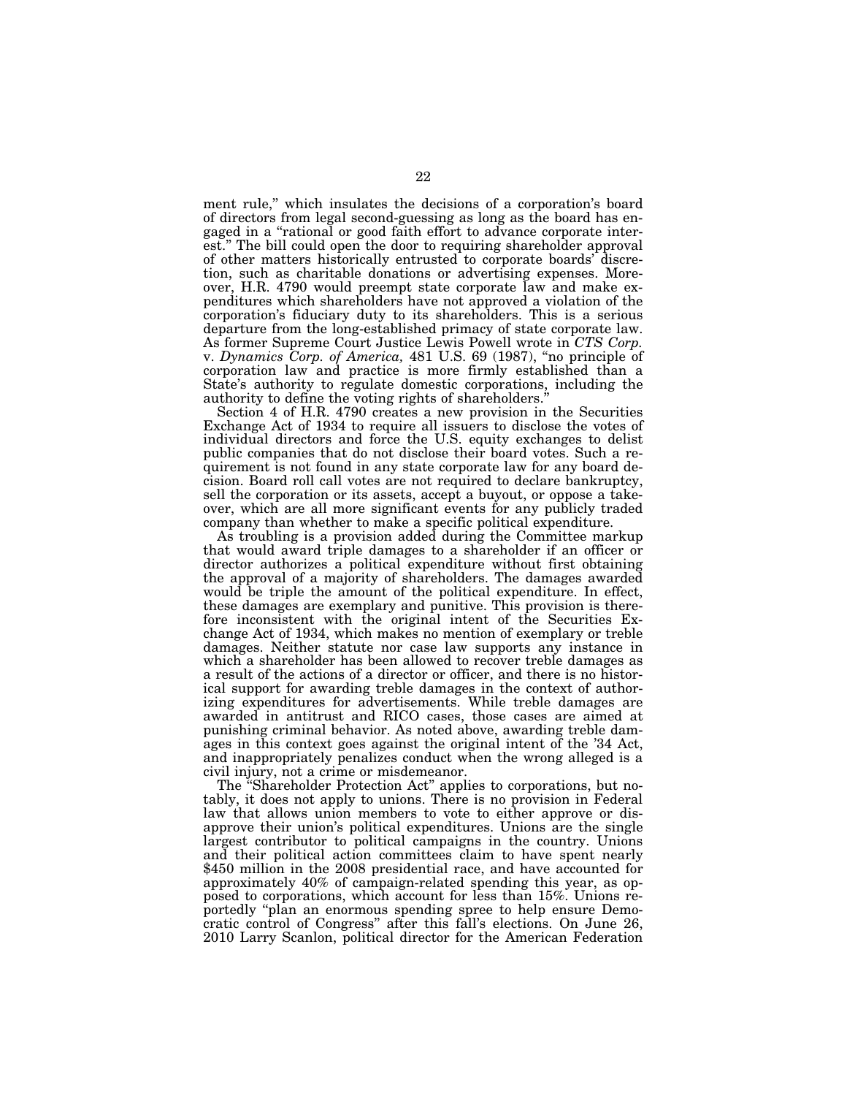ment rule,'' which insulates the decisions of a corporation's board of directors from legal second-guessing as long as the board has engaged in a ''rational or good faith effort to advance corporate interest.'' The bill could open the door to requiring shareholder approval of other matters historically entrusted to corporate boards' discretion, such as charitable donations or advertising expenses. Moreover, H.R. 4790 would preempt state corporate law and make expenditures which shareholders have not approved a violation of the corporation's fiduciary duty to its shareholders. This is a serious departure from the long-established primacy of state corporate law. As former Supreme Court Justice Lewis Powell wrote in *CTS Corp.*  v. *Dynamics Corp. of America,* 481 U.S. 69 (1987), ''no principle of corporation law and practice is more firmly established than a State's authority to regulate domestic corporations, including the authority to define the voting rights of shareholders.''

Section 4 of H.R. 4790 creates a new provision in the Securities Exchange Act of 1934 to require all issuers to disclose the votes of individual directors and force the U.S. equity exchanges to delist public companies that do not disclose their board votes. Such a requirement is not found in any state corporate law for any board decision. Board roll call votes are not required to declare bankruptcy, sell the corporation or its assets, accept a buyout, or oppose a takeover, which are all more significant events for any publicly traded company than whether to make a specific political expenditure.

As troubling is a provision added during the Committee markup that would award triple damages to a shareholder if an officer or director authorizes a political expenditure without first obtaining the approval of a majority of shareholders. The damages awarded would be triple the amount of the political expenditure. In effect, these damages are exemplary and punitive. This provision is therefore inconsistent with the original intent of the Securities Exchange Act of 1934, which makes no mention of exemplary or treble damages. Neither statute nor case law supports any instance in which a shareholder has been allowed to recover treble damages as a result of the actions of a director or officer, and there is no historical support for awarding treble damages in the context of authorizing expenditures for advertisements. While treble damages are awarded in antitrust and RICO cases, those cases are aimed at punishing criminal behavior. As noted above, awarding treble damages in this context goes against the original intent of the '34 Act, and inappropriately penalizes conduct when the wrong alleged is a civil injury, not a crime or misdemeanor.

The ''Shareholder Protection Act'' applies to corporations, but notably, it does not apply to unions. There is no provision in Federal law that allows union members to vote to either approve or disapprove their union's political expenditures. Unions are the single largest contributor to political campaigns in the country. Unions and their political action committees claim to have spent nearly \$450 million in the 2008 presidential race, and have accounted for approximately 40% of campaign-related spending this year, as opposed to corporations, which account for less than 15%. Unions reportedly ''plan an enormous spending spree to help ensure Democratic control of Congress'' after this fall's elections. On June 26, 2010 Larry Scanlon, political director for the American Federation